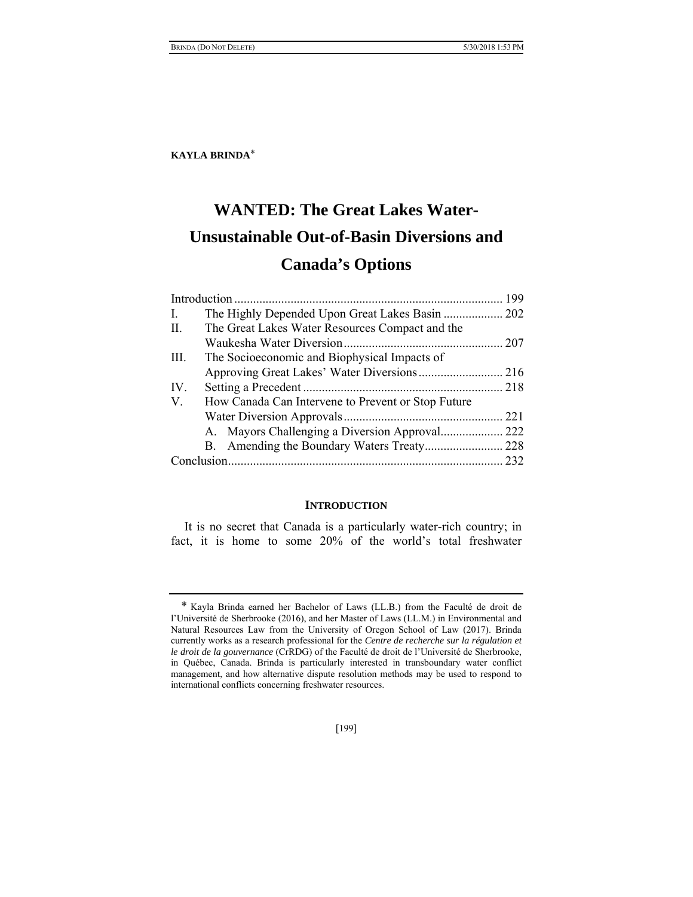# **WANTED: The Great Lakes Water-Unsustainable Out-of-Basin Diversions and Canada's Options**

|             |                                                    | 199 |
|-------------|----------------------------------------------------|-----|
| Ι.          |                                                    |     |
| H.          | The Great Lakes Water Resources Compact and the    |     |
|             |                                                    |     |
| III.        | The Socioeconomic and Biophysical Impacts of       |     |
|             |                                                    |     |
| IV.         |                                                    |     |
| $V_{\cdot}$ | How Canada Can Intervene to Prevent or Stop Future |     |
|             |                                                    | 221 |
|             | A. Mayors Challenging a Diversion Approval 222     |     |
|             |                                                    | 228 |
|             |                                                    | 232 |

#### **INTRODUCTION**

It is no secret that Canada is a particularly water-rich country; in fact, it is home to some 20% of the world's total freshwater

<sup>\*</sup> Kayla Brinda earned her Bachelor of Laws (LL.B.) from the Faculté de droit de l'Université de Sherbrooke (2016), and her Master of Laws (LL.M.) in Environmental and Natural Resources Law from the University of Oregon School of Law (2017). Brinda currently works as a research professional for the *Centre de recherche sur la régulation et le droit de la gouvernance* (CrRDG) of the Faculté de droit de l'Université de Sherbrooke, in Québec, Canada. Brinda is particularly interested in transboundary water conflict management, and how alternative dispute resolution methods may be used to respond to international conflicts concerning freshwater resources.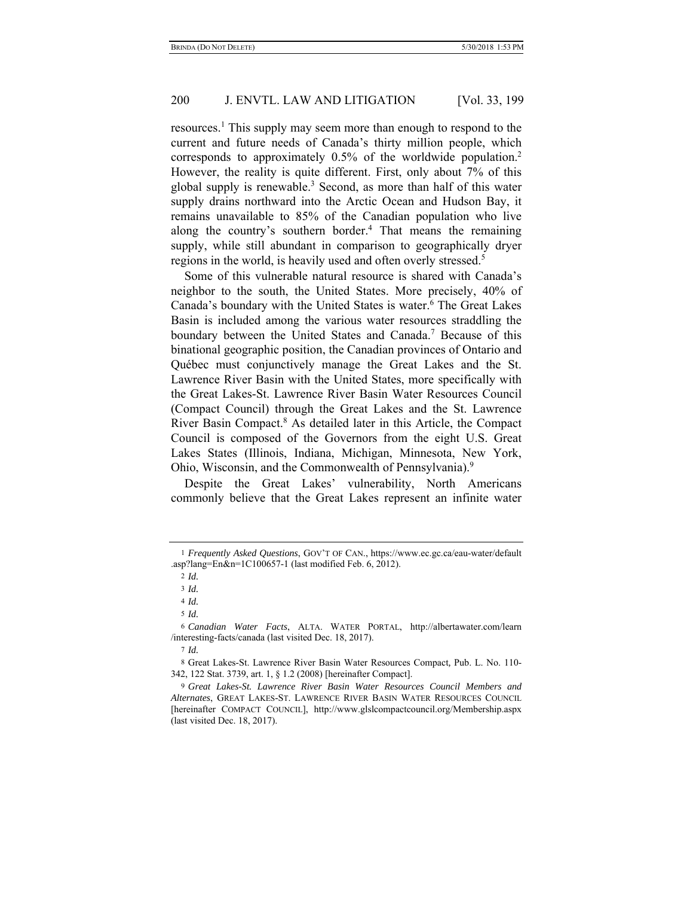resources.<sup>1</sup> This supply may seem more than enough to respond to the current and future needs of Canada's thirty million people, which corresponds to approximately 0.5% of the worldwide population.2 However, the reality is quite different. First, only about 7% of this global supply is renewable.<sup>3</sup> Second, as more than half of this water supply drains northward into the Arctic Ocean and Hudson Bay, it remains unavailable to 85% of the Canadian population who live along the country's southern border.<sup>4</sup> That means the remaining supply, while still abundant in comparison to geographically dryer regions in the world, is heavily used and often overly stressed.<sup>5</sup>

Some of this vulnerable natural resource is shared with Canada's neighbor to the south, the United States. More precisely, 40% of Canada's boundary with the United States is water.<sup>6</sup> The Great Lakes Basin is included among the various water resources straddling the boundary between the United States and Canada.<sup>7</sup> Because of this binational geographic position, the Canadian provinces of Ontario and Québec must conjunctively manage the Great Lakes and the St. Lawrence River Basin with the United States, more specifically with the Great Lakes-St. Lawrence River Basin Water Resources Council (Compact Council) through the Great Lakes and the St. Lawrence River Basin Compact.<sup>8</sup> As detailed later in this Article, the Compact Council is composed of the Governors from the eight U.S. Great Lakes States (Illinois, Indiana, Michigan, Minnesota, New York, Ohio, Wisconsin, and the Commonwealth of Pennsylvania).9

Despite the Great Lakes' vulnerability, North Americans commonly believe that the Great Lakes represent an infinite water

<sup>1</sup> *Frequently Asked Questions*, GOV'T OF CAN., https://www.ec.gc.ca/eau-water/default .asp?lang=En&n=1C100657-1 (last modified Feb. 6, 2012).

<sup>2</sup> *Id.*

<sup>3</sup> *Id.*

<sup>4</sup> *Id.*

<sup>5</sup> *Id.*

<sup>6</sup> *Canadian Water Facts*, ALTA. WATER PORTAL, http://albertawater.com/learn /interesting-facts/canada (last visited Dec. 18, 2017).

<sup>7</sup> *Id.*

<sup>8</sup> Great Lakes-St. Lawrence River Basin Water Resources Compact*,* Pub. L. No. 110- 342, 122 Stat. 3739, art. 1, § 1.2 (2008) [hereinafter Compact].

<sup>9</sup> *Great Lakes-St. Lawrence River Basin Water Resources Council Members and Alternates*, GREAT LAKES-ST. LAWRENCE RIVER BASIN WATER RESOURCES COUNCIL [hereinafter COMPACT COUNCIL], http://www.glslcompactcouncil.org/Membership.aspx (last visited Dec. 18, 2017).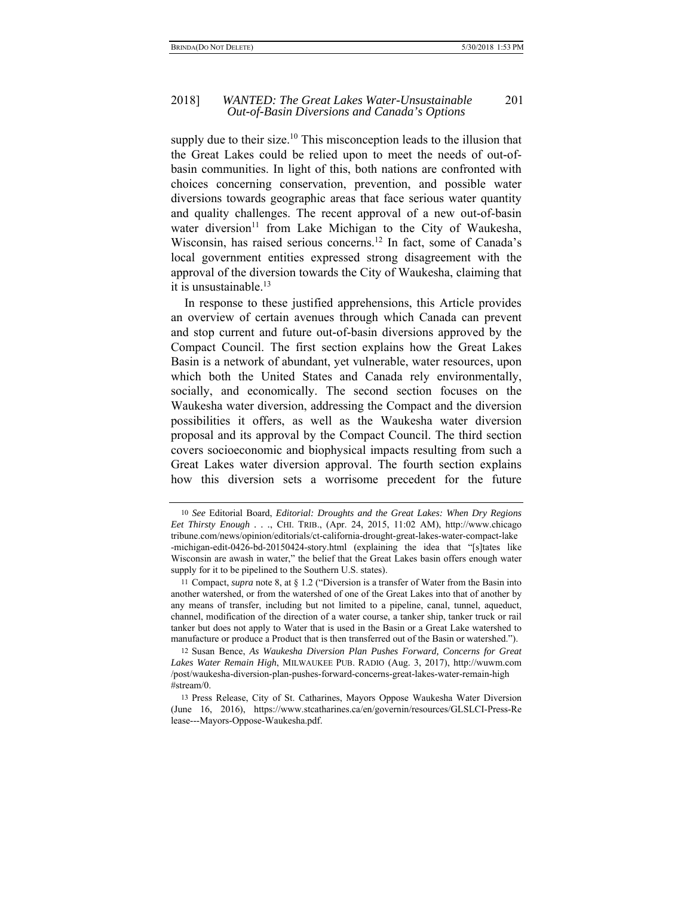#### 2018] *WANTED: The Great Lakes Water-Unsustainable* 201 *Out-of-Basin Diversions and Canada's Options*

supply due to their size.<sup>10</sup> This misconception leads to the illusion that the Great Lakes could be relied upon to meet the needs of out-ofbasin communities. In light of this, both nations are confronted with choices concerning conservation, prevention, and possible water diversions towards geographic areas that face serious water quantity and quality challenges. The recent approval of a new out-of-basin water diversion<sup>11</sup> from Lake Michigan to the City of Waukesha, Wisconsin, has raised serious concerns.<sup>12</sup> In fact, some of Canada's local government entities expressed strong disagreement with the approval of the diversion towards the City of Waukesha, claiming that it is unsustainable. $^{13}$ 

In response to these justified apprehensions, this Article provides an overview of certain avenues through which Canada can prevent and stop current and future out-of-basin diversions approved by the Compact Council. The first section explains how the Great Lakes Basin is a network of abundant, yet vulnerable, water resources, upon which both the United States and Canada rely environmentally, socially, and economically. The second section focuses on the Waukesha water diversion, addressing the Compact and the diversion possibilities it offers, as well as the Waukesha water diversion proposal and its approval by the Compact Council. The third section covers socioeconomic and biophysical impacts resulting from such a Great Lakes water diversion approval. The fourth section explains how this diversion sets a worrisome precedent for the future

12 Susan Bence, *As Waukesha Diversion Plan Pushes Forward, Concerns for Great Lakes Water Remain High*, MILWAUKEE PUB. RADIO (Aug. 3, 2017), http://wuwm.com /post/waukesha-diversion-plan-pushes-forward-concerns-great-lakes-water-remain-high #stream/0.

<sup>10</sup> *See* Editorial Board, *Editorial: Droughts and the Great Lakes: When Dry Regions Eet Thirsty Enough . . .*, CHI. TRIB., (Apr. 24, 2015, 11:02 AM), http://www.chicago tribune.com/news/opinion/editorials/ct-california-drought-great-lakes-water-compact-lake -michigan-edit-0426-bd-20150424-story.html (explaining the idea that "[s]tates like Wisconsin are awash in water," the belief that the Great Lakes basin offers enough water supply for it to be pipelined to the Southern U.S. states).

<sup>11</sup> Compact, *supra* note 8, at § 1.2 ("Diversion is a transfer of Water from the Basin into another watershed, or from the watershed of one of the Great Lakes into that of another by any means of transfer, including but not limited to a pipeline, canal, tunnel, aqueduct, channel, modification of the direction of a water course, a tanker ship, tanker truck or rail tanker but does not apply to Water that is used in the Basin or a Great Lake watershed to manufacture or produce a Product that is then transferred out of the Basin or watershed.").

<sup>13</sup> Press Release, City of St. Catharines, Mayors Oppose Waukesha Water Diversion (June 16, 2016), https://www.stcatharines.ca/en/governin/resources/GLSLCI-Press-Re lease---Mayors-Oppose-Waukesha.pdf.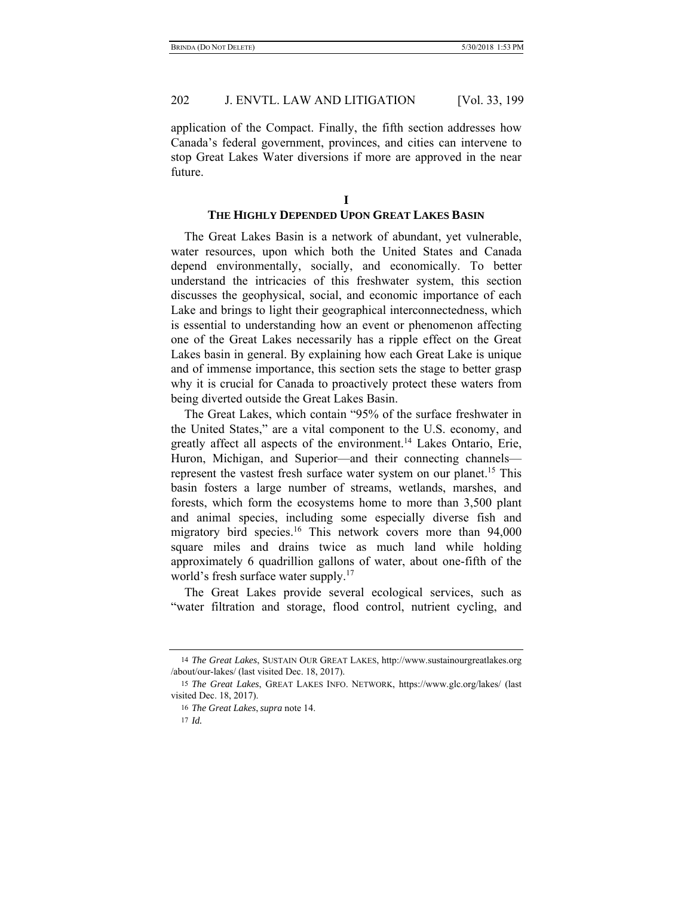application of the Compact. Finally, the fifth section addresses how Canada's federal government, provinces, and cities can intervene to stop Great Lakes Water diversions if more are approved in the near future.

### **THE HIGHLY DEPENDED UPON GREAT LAKES BASIN**

The Great Lakes Basin is a network of abundant, yet vulnerable, water resources, upon which both the United States and Canada depend environmentally, socially, and economically. To better understand the intricacies of this freshwater system, this section discusses the geophysical, social, and economic importance of each Lake and brings to light their geographical interconnectedness, which is essential to understanding how an event or phenomenon affecting one of the Great Lakes necessarily has a ripple effect on the Great Lakes basin in general. By explaining how each Great Lake is unique and of immense importance, this section sets the stage to better grasp why it is crucial for Canada to proactively protect these waters from being diverted outside the Great Lakes Basin.

The Great Lakes, which contain "95% of the surface freshwater in the United States," are a vital component to the U.S. economy, and greatly affect all aspects of the environment.14 Lakes Ontario, Erie, Huron, Michigan, and Superior—and their connecting channels represent the vastest fresh surface water system on our planet.<sup>15</sup> This basin fosters a large number of streams, wetlands, marshes, and forests, which form the ecosystems home to more than 3,500 plant and animal species, including some especially diverse fish and migratory bird species.<sup>16</sup> This network covers more than 94,000 square miles and drains twice as much land while holding approximately 6 quadrillion gallons of water, about one-fifth of the world's fresh surface water supply.<sup>17</sup>

The Great Lakes provide several ecological services, such as "water filtration and storage, flood control, nutrient cycling, and

<sup>14</sup> *The Great Lakes*, SUSTAIN OUR GREAT LAKES, http://www.sustainourgreatlakes.org /about/our-lakes/ (last visited Dec. 18, 2017).

<sup>15</sup> *The Great Lakes*, GREAT LAKES INFO. NETWORK, https://www.glc.org/lakes/ (last visited Dec. 18, 2017).

<sup>16</sup> *The Great Lakes*, *supra* note 14.

<sup>17</sup> *Id.*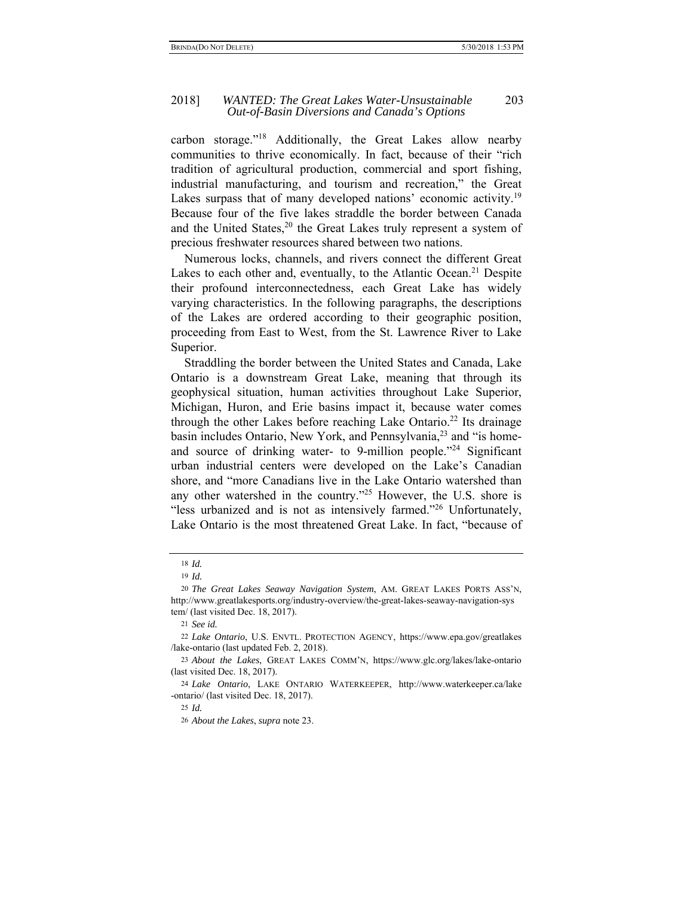#### 2018] *WANTED: The Great Lakes Water-Unsustainable* 203 *Out-of-Basin Diversions and Canada's Options*

carbon storage."18 Additionally, the Great Lakes allow nearby communities to thrive economically. In fact, because of their "rich tradition of agricultural production, commercial and sport fishing, industrial manufacturing, and tourism and recreation," the Great Lakes surpass that of many developed nations' economic activity.<sup>19</sup> Because four of the five lakes straddle the border between Canada and the United States, $20$  the Great Lakes truly represent a system of precious freshwater resources shared between two nations.

Numerous locks, channels, and rivers connect the different Great Lakes to each other and, eventually, to the Atlantic Ocean.<sup>21</sup> Despite their profound interconnectedness, each Great Lake has widely varying characteristics. In the following paragraphs, the descriptions of the Lakes are ordered according to their geographic position, proceeding from East to West, from the St. Lawrence River to Lake Superior.

Straddling the border between the United States and Canada, Lake Ontario is a downstream Great Lake, meaning that through its geophysical situation, human activities throughout Lake Superior, Michigan, Huron, and Erie basins impact it, because water comes through the other Lakes before reaching Lake Ontario.<sup>22</sup> Its drainage basin includes Ontario, New York, and Pennsylvania,<sup>23</sup> and "is homeand source of drinking water- to 9-million people."<sup>24</sup> Significant urban industrial centers were developed on the Lake's Canadian shore, and "more Canadians live in the Lake Ontario watershed than any other watershed in the country."25 However, the U.S. shore is "less urbanized and is not as intensively farmed."26 Unfortunately, Lake Ontario is the most threatened Great Lake. In fact, "because of

<sup>18</sup> *Id.*

<sup>19</sup> *Id.*

<sup>20</sup> *The Great Lakes Seaway Navigation System*, AM. GREAT LAKES PORTS ASS'N, http://www.greatlakesports.org/industry-overview/the-great-lakes-seaway-navigation-sys tem/ (last visited Dec. 18, 2017).

<sup>21</sup> *See id.* 

<sup>22</sup> *Lake Ontario*, U.S. ENVTL. PROTECTION AGENCY, https://www.epa.gov/greatlakes /lake-ontario (last updated Feb. 2, 2018).

<sup>23</sup> *About the Lakes*, GREAT LAKES COMM'N, https://www.glc.org/lakes/lake-ontario (last visited Dec. 18, 2017).

<sup>24</sup> *Lake Ontario*, LAKE ONTARIO WATERKEEPER, http://www.waterkeeper.ca/lake -ontario/ (last visited Dec. 18, 2017).

<sup>25</sup> *Id.*

<sup>26</sup> *About the Lakes*, *supra* note 23.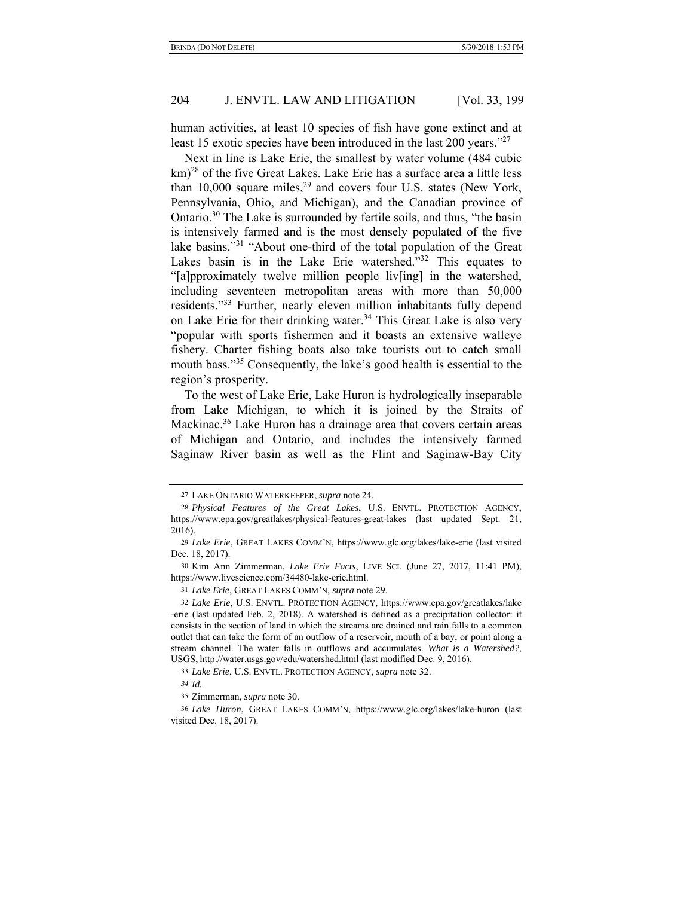human activities, at least 10 species of fish have gone extinct and at least 15 exotic species have been introduced in the last 200 years."27

Next in line is Lake Erie, the smallest by water volume (484 cubic km)<sup>28</sup> of the five Great Lakes. Lake Erie has a surface area a little less than  $10,000$  square miles,  $29$  and covers four U.S. states (New York, Pennsylvania, Ohio, and Michigan), and the Canadian province of Ontario.<sup>30</sup> The Lake is surrounded by fertile soils, and thus, "the basin is intensively farmed and is the most densely populated of the five lake basins."31 "About one-third of the total population of the Great Lakes basin is in the Lake Erie watershed."<sup>32</sup> This equates to "[a]pproximately twelve million people liv[ing] in the watershed, including seventeen metropolitan areas with more than 50,000 residents."33 Further, nearly eleven million inhabitants fully depend on Lake Erie for their drinking water.<sup>34</sup> This Great Lake is also very "popular with sports fishermen and it boasts an extensive walleye fishery. Charter fishing boats also take tourists out to catch small mouth bass."35 Consequently, the lake's good health is essential to the region's prosperity.

To the west of Lake Erie, Lake Huron is hydrologically inseparable from Lake Michigan, to which it is joined by the Straits of Mackinac.<sup>36</sup> Lake Huron has a drainage area that covers certain areas of Michigan and Ontario, and includes the intensively farmed Saginaw River basin as well as the Flint and Saginaw-Bay City

31 *Lake Erie*, GREAT LAKES COMM'N, *supra* note 29.

<sup>27</sup> LAKE ONTARIO WATERKEEPER, *supra* note 24.

<sup>28</sup> *Physical Features of the Great Lakes*, U.S. ENVTL. PROTECTION AGENCY, https://www.epa.gov/greatlakes/physical-features-great-lakes (last updated Sept. 21, 2016).

<sup>29</sup> *Lake Erie*, GREAT LAKES COMM'N, https://www.glc.org/lakes/lake-erie (last visited Dec. 18, 2017).

<sup>30</sup> Kim Ann Zimmerman, *Lake Erie Facts*, LIVE SCI. (June 27, 2017, 11:41 PM), https://www.livescience.com/34480-lake-erie.html.

<sup>32</sup> *Lake Erie*, U.S. ENVTL. PROTECTION AGENCY, https://www.epa.gov/greatlakes/lake -erie (last updated Feb. 2, 2018). A watershed is defined as a precipitation collector: it consists in the section of land in which the streams are drained and rain falls to a common outlet that can take the form of an outflow of a reservoir, mouth of a bay, or point along a stream channel. The water falls in outflows and accumulates. *What is a Watershed?*, USGS, http://water.usgs.gov/edu/watershed.html (last modified Dec. 9, 2016).

<sup>33</sup> *Lake Erie*, U.S. ENVTL. PROTECTION AGENCY, *supra* note 32.

*<sup>34</sup> Id.*

<sup>35</sup> Zimmerman, *supra* note 30.

<sup>36</sup> *Lake Huron*, GREAT LAKES COMM'N, https://www.glc.org/lakes/lake-huron (last visited Dec. 18, 2017).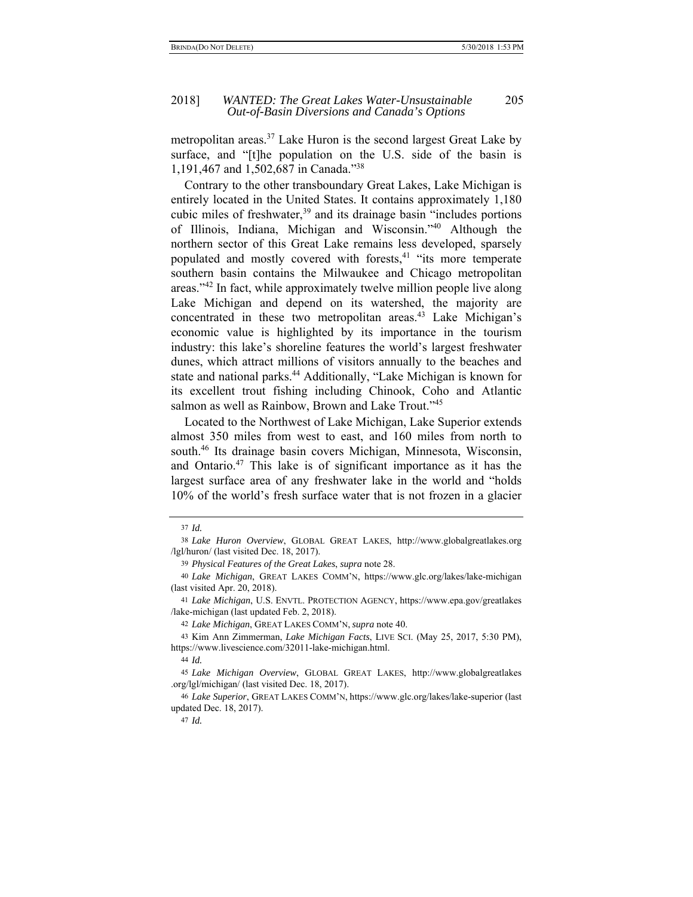#### 2018] *WANTED: The Great Lakes Water-Unsustainable* 205 *Out-of-Basin Diversions and Canada's Options*

metropolitan areas.<sup>37</sup> Lake Huron is the second largest Great Lake by surface, and "[t]he population on the U.S. side of the basin is 1,191,467 and 1,502,687 in Canada."38

Contrary to the other transboundary Great Lakes, Lake Michigan is entirely located in the United States. It contains approximately 1,180 cubic miles of freshwater, $39$  and its drainage basin "includes portions" of Illinois, Indiana, Michigan and Wisconsin."40 Although the northern sector of this Great Lake remains less developed, sparsely populated and mostly covered with forests,<sup>41</sup> "its more temperate southern basin contains the Milwaukee and Chicago metropolitan areas."42 In fact, while approximately twelve million people live along Lake Michigan and depend on its watershed, the majority are concentrated in these two metropolitan areas.<sup>43</sup> Lake Michigan's economic value is highlighted by its importance in the tourism industry: this lake's shoreline features the world's largest freshwater dunes, which attract millions of visitors annually to the beaches and state and national parks.<sup>44</sup> Additionally, "Lake Michigan is known for its excellent trout fishing including Chinook, Coho and Atlantic salmon as well as Rainbow, Brown and Lake Trout."<sup>45</sup>

Located to the Northwest of Lake Michigan, Lake Superior extends almost 350 miles from west to east, and 160 miles from north to south.<sup>46</sup> Its drainage basin covers Michigan, Minnesota, Wisconsin, and Ontario.47 This lake is of significant importance as it has the largest surface area of any freshwater lake in the world and "holds 10% of the world's fresh surface water that is not frozen in a glacier

<sup>37</sup> *Id.*

<sup>38</sup> *Lake Huron Overview*, GLOBAL GREAT LAKES, http://www.globalgreatlakes.org /lgl/huron/ (last visited Dec. 18, 2017).

<sup>39</sup> *Physical Features of the Great Lakes*, *supra* note 28.

<sup>40</sup> *Lake Michigan*, GREAT LAKES COMM'N, https://www.glc.org/lakes/lake-michigan (last visited Apr. 20, 2018).

<sup>41</sup> *Lake Michigan*, U.S. ENVTL. PROTECTION AGENCY, https://www.epa.gov/greatlakes /lake-michigan (last updated Feb. 2, 2018).

<sup>42</sup> *Lake Michigan*, GREAT LAKES COMM'N, *supra* note 40.

<sup>43</sup> Kim Ann Zimmerman, *Lake Michigan Facts*, LIVE SCI. (May 25, 2017, 5:30 PM), https://www.livescience.com/32011-lake-michigan.html.

<sup>44</sup> *Id.*

<sup>45</sup> *Lake Michigan Overview*, GLOBAL GREAT LAKES, http://www.globalgreatlakes .org/lgl/michigan/ (last visited Dec. 18, 2017).

<sup>46</sup> *Lake Superior*, GREAT LAKES COMM'N, https://www.glc.org/lakes/lake-superior (last updated Dec. 18, 2017).

<sup>47</sup> *Id.*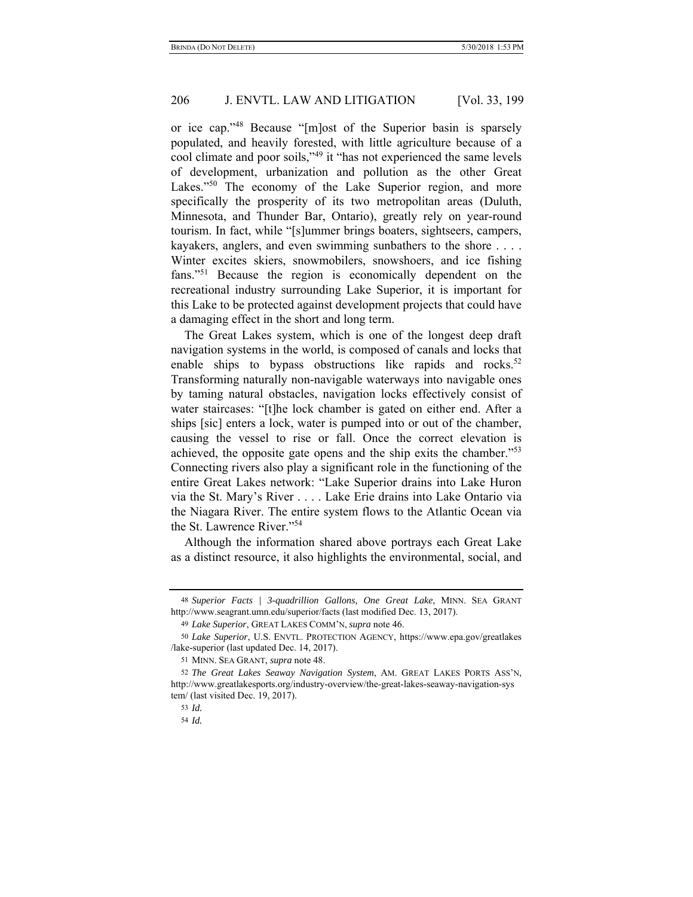or ice cap."48 Because "[m]ost of the Superior basin is sparsely populated, and heavily forested, with little agriculture because of a cool climate and poor soils,"49 it "has not experienced the same levels of development, urbanization and pollution as the other Great Lakes."<sup>50</sup> The economy of the Lake Superior region, and more specifically the prosperity of its two metropolitan areas (Duluth, Minnesota, and Thunder Bar, Ontario), greatly rely on year-round tourism. In fact, while "[s]ummer brings boaters, sightseers, campers, kayakers, anglers, and even swimming sunbathers to the shore . . . . Winter excites skiers, snowmobilers, snowshoers, and ice fishing fans."51 Because the region is economically dependent on the recreational industry surrounding Lake Superior, it is important for this Lake to be protected against development projects that could have a damaging effect in the short and long term.

The Great Lakes system, which is one of the longest deep draft navigation systems in the world, is composed of canals and locks that enable ships to bypass obstructions like rapids and rocks.<sup>52</sup> Transforming naturally non-navigable waterways into navigable ones by taming natural obstacles, navigation locks effectively consist of water staircases: "[t]he lock chamber is gated on either end. After a ships [sic] enters a lock, water is pumped into or out of the chamber, causing the vessel to rise or fall. Once the correct elevation is achieved, the opposite gate opens and the ship exits the chamber."53 Connecting rivers also play a significant role in the functioning of the entire Great Lakes network: "Lake Superior drains into Lake Huron via the St. Mary's River . . . . Lake Erie drains into Lake Ontario via the Niagara River. The entire system flows to the Atlantic Ocean via the St. Lawrence River."54

Although the information shared above portrays each Great Lake as a distinct resource, it also highlights the environmental, social, and

<sup>48</sup> *Superior Facts | 3-quadrillion Gallons, One Great Lake*, MINN. SEA GRANT http://www.seagrant.umn.edu/superior/facts (last modified Dec. 13, 2017).

<sup>49</sup> *Lake Superior*, GREAT LAKES COMM'N, *supra* note 46.

<sup>50</sup> *Lake Superior*, U.S. ENVTL. PROTECTION AGENCY, https://www.epa.gov/greatlakes /lake-superior (last updated Dec. 14, 2017).

<sup>51</sup> MINN. SEA GRANT, *supra* note 48.

<sup>52</sup> *The Great Lakes Seaway Navigation System*, AM. GREAT LAKES PORTS ASS'N, http://www.greatlakesports.org/industry-overview/the-great-lakes-seaway-navigation-sys tem/ (last visited Dec. 19, 2017).

<sup>53</sup> *Id.*

<sup>54</sup> *Id.*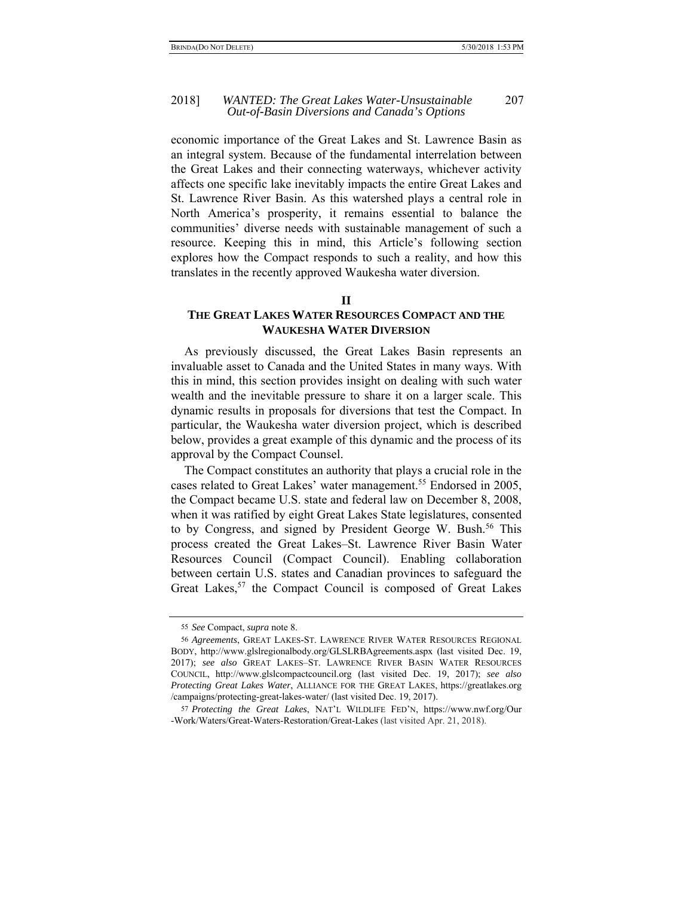#### 2018] *WANTED: The Great Lakes Water-Unsustainable* 207 *Out-of-Basin Diversions and Canada's Options*

economic importance of the Great Lakes and St. Lawrence Basin as an integral system. Because of the fundamental interrelation between the Great Lakes and their connecting waterways, whichever activity affects one specific lake inevitably impacts the entire Great Lakes and St. Lawrence River Basin. As this watershed plays a central role in North America's prosperity, it remains essential to balance the communities' diverse needs with sustainable management of such a resource. Keeping this in mind, this Article's following section explores how the Compact responds to such a reality, and how this translates in the recently approved Waukesha water diversion.

#### **II**

# **THE GREAT LAKES WATER RESOURCES COMPACT AND THE WAUKESHA WATER DIVERSION**

As previously discussed, the Great Lakes Basin represents an invaluable asset to Canada and the United States in many ways. With this in mind, this section provides insight on dealing with such water wealth and the inevitable pressure to share it on a larger scale. This dynamic results in proposals for diversions that test the Compact. In particular, the Waukesha water diversion project, which is described below, provides a great example of this dynamic and the process of its approval by the Compact Counsel.

The Compact constitutes an authority that plays a crucial role in the cases related to Great Lakes' water management.<sup>55</sup> Endorsed in 2005, the Compact became U.S. state and federal law on December 8, 2008, when it was ratified by eight Great Lakes State legislatures, consented to by Congress, and signed by President George W. Bush.<sup>56</sup> This process created the Great Lakes–St. Lawrence River Basin Water Resources Council (Compact Council). Enabling collaboration between certain U.S. states and Canadian provinces to safeguard the Great Lakes,<sup>57</sup> the Compact Council is composed of Great Lakes

<sup>55</sup> *See* Compact, *supra* note 8.

<sup>56</sup> *Agreements*, GREAT LAKES-ST. LAWRENCE RIVER WATER RESOURCES REGIONAL BODY, http://www.glslregionalbody.org/GLSLRBAgreements.aspx (last visited Dec. 19, 2017); *see also* GREAT LAKES–ST. LAWRENCE RIVER BASIN WATER RESOURCES COUNCIL, http://www.glslcompactcouncil.org (last visited Dec. 19, 2017); *see also Protecting Great Lakes Water*, ALLIANCE FOR THE GREAT LAKES, https://greatlakes.org /campaigns/protecting-great-lakes-water/ (last visited Dec. 19, 2017).

<sup>57</sup> *Protecting the Great Lakes*, NAT'L WILDLIFE FED'N, https://www.nwf.org/Our -Work/Waters/Great-Waters-Restoration/Great-Lakes (last visited Apr. 21, 2018).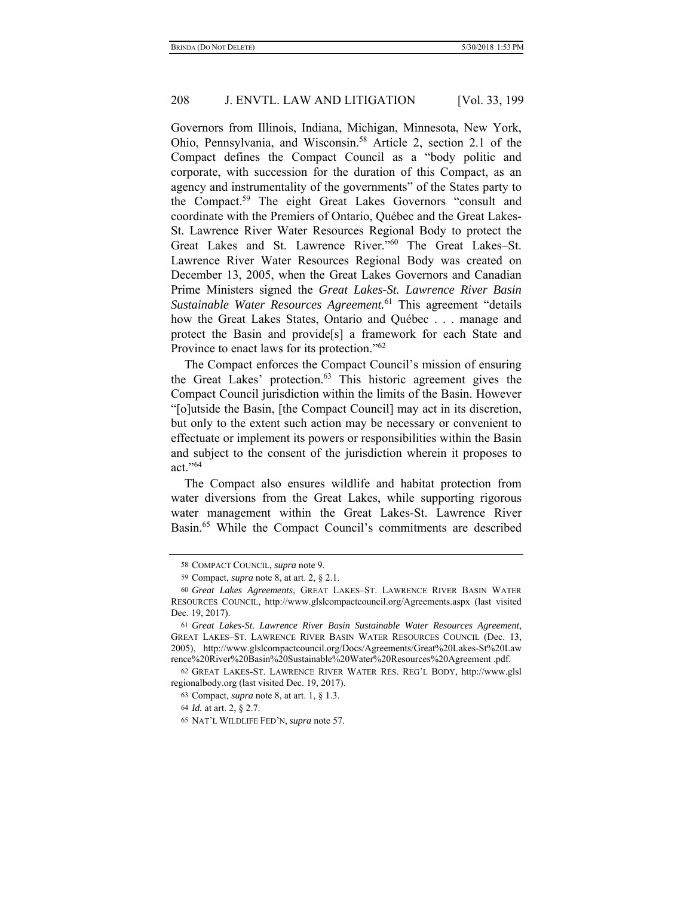Governors from Illinois, Indiana, Michigan, Minnesota, New York, Ohio, Pennsylvania, and Wisconsin.<sup>58</sup> Article 2, section 2.1 of the Compact defines the Compact Council as a "body politic and corporate, with succession for the duration of this Compact, as an agency and instrumentality of the governments" of the States party to the Compact.59 The eight Great Lakes Governors "consult and coordinate with the Premiers of Ontario, Québec and the Great Lakes-St. Lawrence River Water Resources Regional Body to protect the Great Lakes and St. Lawrence River."60 The Great Lakes–St. Lawrence River Water Resources Regional Body was created on December 13, 2005, when the Great Lakes Governors and Canadian Prime Ministers signed the *Great Lakes-St. Lawrence River Basin Sustainable Water Resources Agreement.*61 This agreement "details how the Great Lakes States, Ontario and Québec . . . manage and protect the Basin and provide[s] a framework for each State and Province to enact laws for its protection."<sup>62</sup>

The Compact enforces the Compact Council's mission of ensuring the Great Lakes' protection.63 This historic agreement gives the Compact Council jurisdiction within the limits of the Basin. However "[o]utside the Basin, [the Compact Council] may act in its discretion, but only to the extent such action may be necessary or convenient to effectuate or implement its powers or responsibilities within the Basin and subject to the consent of the jurisdiction wherein it proposes to act."64

The Compact also ensures wildlife and habitat protection from water diversions from the Great Lakes, while supporting rigorous water management within the Great Lakes-St. Lawrence River Basin.<sup>65</sup> While the Compact Council's commitments are described

<sup>58</sup> COMPACT COUNCIL, *supra* note 9.

<sup>59</sup> Compact, *supra* note 8, at art. 2, § 2.1.

<sup>60</sup> *Great Lakes Agreements*, GREAT LAKES–ST. LAWRENCE RIVER BASIN WATER RESOURCES COUNCIL, http://www.glslcompactcouncil.org/Agreements.aspx (last visited Dec. 19, 2017).

<sup>61</sup> *Great Lakes-St. Lawrence River Basin Sustainable Water Resources Agreement*, GREAT LAKES–ST. LAWRENCE RIVER BASIN WATER RESOURCES COUNCIL (Dec. 13, 2005), http://www.glslcompactcouncil.org/Docs/Agreements/Great%20Lakes-St%20Law rence%20River%20Basin%20Sustainable%20Water%20Resources%20Agreement .pdf.

<sup>62</sup> GREAT LAKES-ST. LAWRENCE RIVER WATER RES. REG'L BODY, http://www.glsl regionalbody.org (last visited Dec. 19, 2017).

<sup>63</sup> Compact, *supra* note 8, at art. 1, § 1.3.

<sup>64</sup> *Id.* at art. 2, § 2.7.

<sup>65</sup> NAT'L WILDLIFE FED'N, *supra* note 57.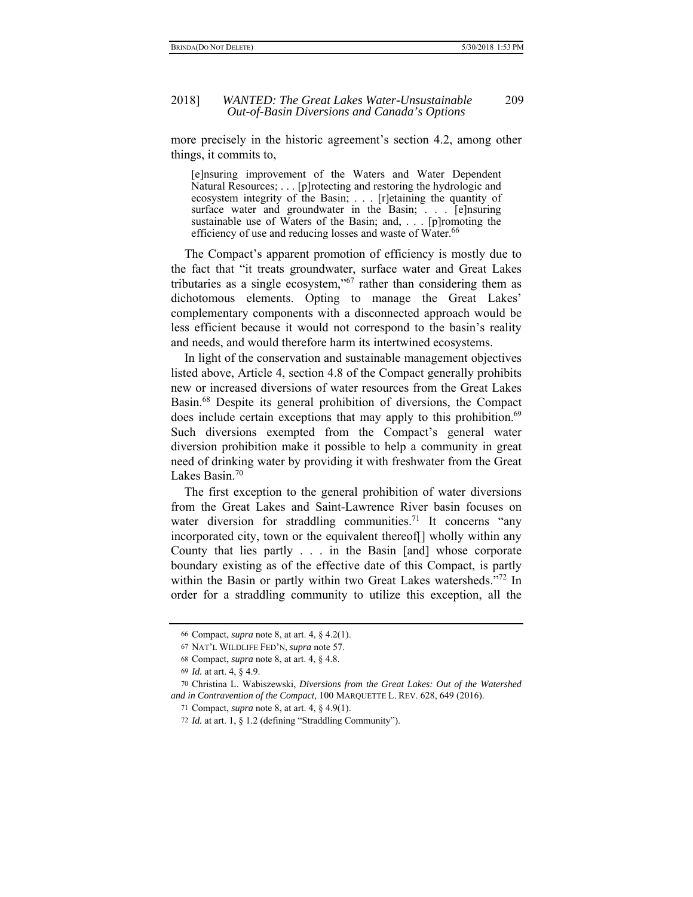more precisely in the historic agreement's section 4.2, among other things, it commits to,

[e]nsuring improvement of the Waters and Water Dependent Natural Resources; . . . [p]rotecting and restoring the hydrologic and ecosystem integrity of the Basin; . . . [r]etaining the quantity of surface water and groundwater in the Basin; . . . [e]nsuring sustainable use of Waters of the Basin; and, . . . [p]romoting the efficiency of use and reducing losses and waste of Water.<sup>66</sup>

 The Compact's apparent promotion of efficiency is mostly due to the fact that "it treats groundwater, surface water and Great Lakes tributaries as a single ecosystem,"67 rather than considering them as dichotomous elements. Opting to manage the Great Lakes' complementary components with a disconnected approach would be less efficient because it would not correspond to the basin's reality and needs, and would therefore harm its intertwined ecosystems.

In light of the conservation and sustainable management objectives listed above, Article 4, section 4.8 of the Compact generally prohibits new or increased diversions of water resources from the Great Lakes Basin.68 Despite its general prohibition of diversions, the Compact does include certain exceptions that may apply to this prohibition.<sup>69</sup> Such diversions exempted from the Compact's general water diversion prohibition make it possible to help a community in great need of drinking water by providing it with freshwater from the Great Lakes Basin.70

The first exception to the general prohibition of water diversions from the Great Lakes and Saint-Lawrence River basin focuses on water diversion for straddling communities.<sup>71</sup> It concerns "any incorporated city, town or the equivalent thereof[] wholly within any County that lies partly . . . in the Basin [and] whose corporate boundary existing as of the effective date of this Compact, is partly within the Basin or partly within two Great Lakes watersheds."<sup>72</sup> In order for a straddling community to utilize this exception, all the

<sup>66</sup> Compact, *supra* note 8, at art. 4, § 4.2(1).

<sup>67</sup> NAT'L WILDLIFE FED'N, *supra* note 57.

<sup>68</sup> Compact, *supra* note 8, at art. 4, § 4.8.

<sup>69</sup> *Id.* at art. 4, § 4.9.

<sup>70</sup> Christina L. Wabiszewski, *Diversions from the Great Lakes: Out of the Watershed and in Contravention of the Compact*, 100 MARQUETTE L. REV. 628, 649 (2016).

<sup>71</sup> Compact, *supra* note 8, at art. 4, § 4.9(1).

<sup>72</sup> *Id.* at art. 1, § 1.2 (defining "Straddling Community").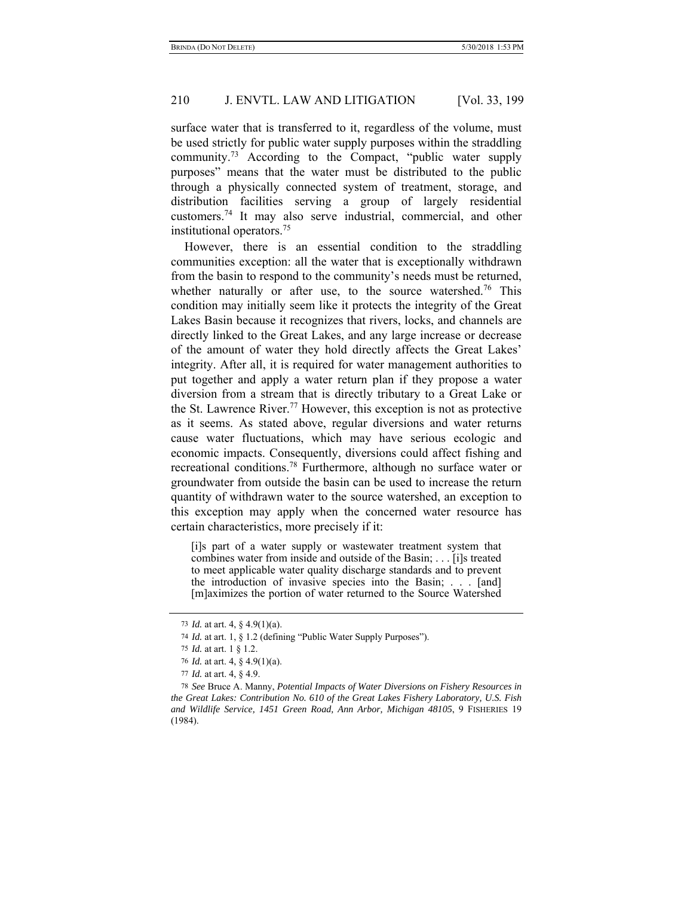surface water that is transferred to it, regardless of the volume, must be used strictly for public water supply purposes within the straddling community.73 According to the Compact, "public water supply purposes" means that the water must be distributed to the public through a physically connected system of treatment, storage, and distribution facilities serving a group of largely residential customers.74 It may also serve industrial, commercial, and other institutional operators.75

However, there is an essential condition to the straddling communities exception: all the water that is exceptionally withdrawn from the basin to respond to the community's needs must be returned, whether naturally or after use, to the source watershed.<sup>76</sup> This condition may initially seem like it protects the integrity of the Great Lakes Basin because it recognizes that rivers, locks, and channels are directly linked to the Great Lakes, and any large increase or decrease of the amount of water they hold directly affects the Great Lakes' integrity. After all, it is required for water management authorities to put together and apply a water return plan if they propose a water diversion from a stream that is directly tributary to a Great Lake or the St. Lawrence River.<sup>77</sup> However, this exception is not as protective as it seems. As stated above, regular diversions and water returns cause water fluctuations, which may have serious ecologic and economic impacts. Consequently, diversions could affect fishing and recreational conditions.78 Furthermore, although no surface water or groundwater from outside the basin can be used to increase the return quantity of withdrawn water to the source watershed, an exception to this exception may apply when the concerned water resource has certain characteristics, more precisely if it:

[i]s part of a water supply or wastewater treatment system that combines water from inside and outside of the Basin; . . . [i]s treated to meet applicable water quality discharge standards and to prevent the introduction of invasive species into the Basin;  $\ldots$  [and] [m]aximizes the portion of water returned to the Source Watershed

<sup>73</sup> *Id.* at art. 4, § 4.9(1)(a).

<sup>74</sup> *Id.* at art. 1, § 1.2 (defining "Public Water Supply Purposes").

<sup>75</sup> *Id.* at art. 1 § 1.2.

<sup>76</sup> *Id.* at art. 4, § 4.9(1)(a).

<sup>77</sup> *Id.* at art. 4, § 4.9.

<sup>78</sup> *See* Bruce A. Manny, *Potential Impacts of Water Diversions on Fishery Resources in the Great Lakes: Contribution No. 610 of the Great Lakes Fishery Laboratory, U.S. Fish and Wildlife Service, 1451 Green Road, Ann Arbor, Michigan 48105*, 9 FISHERIES 19 (1984).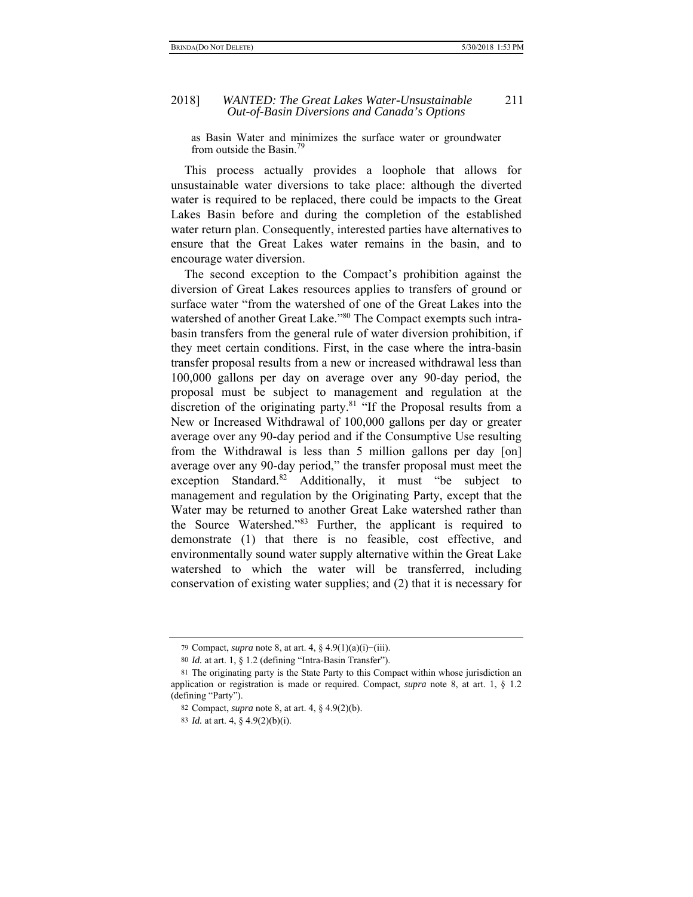as Basin Water and minimizes the surface water or groundwater from outside the Basin<sup>79</sup>

This process actually provides a loophole that allows for unsustainable water diversions to take place: although the diverted water is required to be replaced, there could be impacts to the Great Lakes Basin before and during the completion of the established water return plan. Consequently, interested parties have alternatives to ensure that the Great Lakes water remains in the basin, and to encourage water diversion.

The second exception to the Compact's prohibition against the diversion of Great Lakes resources applies to transfers of ground or surface water "from the watershed of one of the Great Lakes into the watershed of another Great Lake."<sup>80</sup> The Compact exempts such intrabasin transfers from the general rule of water diversion prohibition, if they meet certain conditions. First, in the case where the intra-basin transfer proposal results from a new or increased withdrawal less than 100,000 gallons per day on average over any 90-day period, the proposal must be subject to management and regulation at the discretion of the originating party.<sup>81</sup> "If the Proposal results from a New or Increased Withdrawal of 100,000 gallons per day or greater average over any 90-day period and if the Consumptive Use resulting from the Withdrawal is less than 5 million gallons per day [on] average over any 90-day period," the transfer proposal must meet the exception Standard.<sup>82</sup> Additionally, it must "be subject to management and regulation by the Originating Party, except that the Water may be returned to another Great Lake watershed rather than the Source Watershed."83 Further, the applicant is required to demonstrate (1) that there is no feasible, cost effective, and environmentally sound water supply alternative within the Great Lake watershed to which the water will be transferred, including conservation of existing water supplies; and (2) that it is necessary for

<sup>79</sup> Compact, *supra* note 8, at art. 4, § 4.9(1)(a)(i)−(iii).

<sup>80</sup> *Id.* at art. 1, § 1.2 (defining "Intra-Basin Transfer").

<sup>81</sup> The originating party is the State Party to this Compact within whose jurisdiction an application or registration is made or required. Compact, *supra* note 8, at art. 1, § 1.2 (defining "Party").

<sup>82</sup> Compact, *supra* note 8, at art. 4, § 4.9(2)(b).

<sup>83</sup> *Id.* at art. 4, § 4.9(2)(b)(i).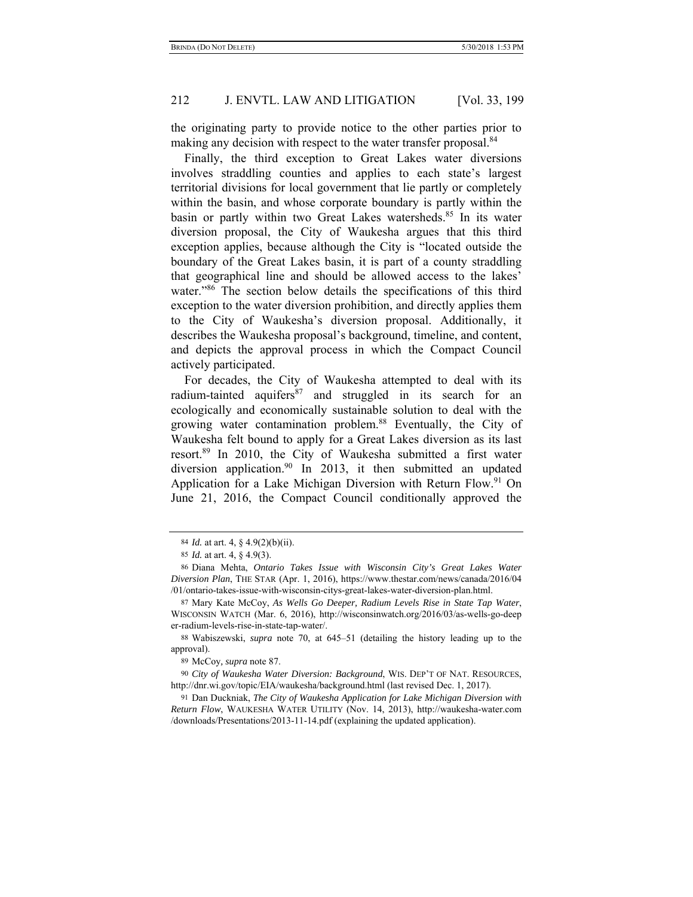the originating party to provide notice to the other parties prior to making any decision with respect to the water transfer proposal.<sup>84</sup>

Finally, the third exception to Great Lakes water diversions involves straddling counties and applies to each state's largest territorial divisions for local government that lie partly or completely within the basin, and whose corporate boundary is partly within the basin or partly within two Great Lakes watersheds.<sup>85</sup> In its water diversion proposal, the City of Waukesha argues that this third exception applies, because although the City is "located outside the boundary of the Great Lakes basin, it is part of a county straddling that geographical line and should be allowed access to the lakes' water."<sup>86</sup> The section below details the specifications of this third exception to the water diversion prohibition, and directly applies them to the City of Waukesha's diversion proposal. Additionally, it describes the Waukesha proposal's background, timeline, and content, and depicts the approval process in which the Compact Council actively participated.

For decades, the City of Waukesha attempted to deal with its radium-tainted aquifers<sup>87</sup> and struggled in its search for an ecologically and economically sustainable solution to deal with the growing water contamination problem.<sup>88</sup> Eventually, the City of Waukesha felt bound to apply for a Great Lakes diversion as its last resort.89 In 2010, the City of Waukesha submitted a first water diversion application.<sup>90</sup> In 2013, it then submitted an updated Application for a Lake Michigan Diversion with Return Flow.<sup>91</sup> On June 21, 2016, the Compact Council conditionally approved the

87 Mary Kate McCoy, *As Wells Go Deeper, Radium Levels Rise in State Tap Water*, WISCONSIN WATCH (Mar. 6, 2016), http://wisconsinwatch.org/2016/03/as-wells-go-deep er-radium-levels-rise-in-state-tap-water/.

88 Wabiszewski, *supra* note 70, at 645–51 (detailing the history leading up to the approval).

89 McCoy*, supra* note 87.

90 *City of Waukesha Water Diversion: Background*, WIS. DEP'T OF NAT. RESOURCES, http://dnr.wi.gov/topic/EIA/waukesha/background.html (last revised Dec. 1, 2017).

91 Dan Duckniak, *The City of Waukesha Application for Lake Michigan Diversion with Return Flow*, WAUKESHA WATER UTILITY (Nov. 14, 2013), http://waukesha-water.com /downloads/Presentations/2013-11-14.pdf (explaining the updated application).

<sup>84</sup> *Id.* at art. 4, § 4.9(2)(b)(ii).

<sup>85</sup> *Id.* at art. 4, § 4.9(3).

<sup>86</sup> Diana Mehta, *Ontario Takes Issue with Wisconsin City's Great Lakes Water Diversion Plan*, THE STAR (Apr. 1, 2016), https://www.thestar.com/news/canada/2016/04 /01/ontario-takes-issue-with-wisconsin-citys-great-lakes-water-diversion-plan.html.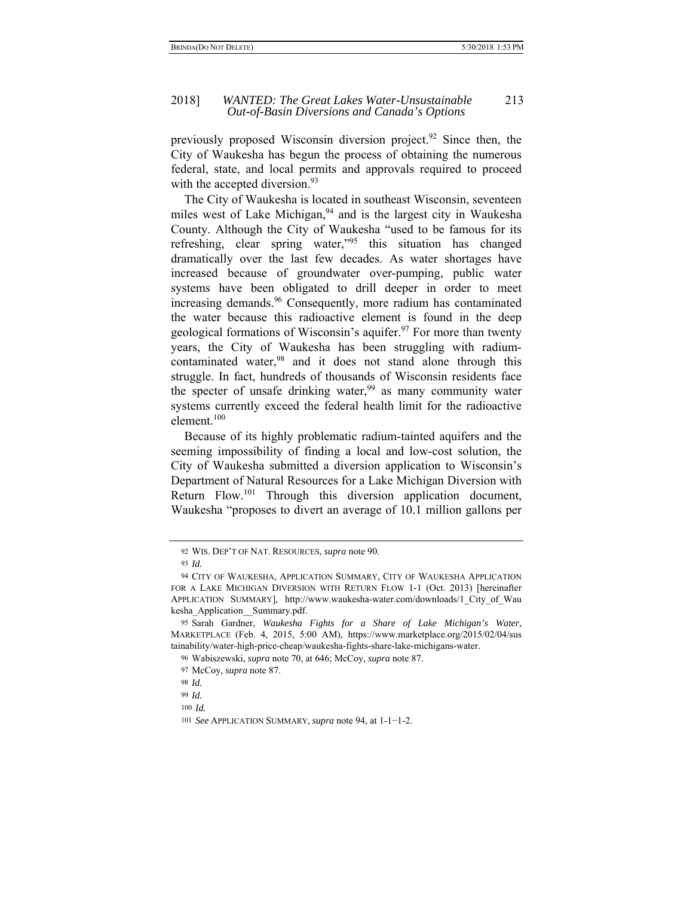#### 2018] *WANTED: The Great Lakes Water-Unsustainable* 213 *Out-of-Basin Diversions and Canada's Options*

previously proposed Wisconsin diversion project.92 Since then, the City of Waukesha has begun the process of obtaining the numerous federal, state, and local permits and approvals required to proceed with the accepted diversion.<sup>93</sup>

The City of Waukesha is located in southeast Wisconsin, seventeen miles west of Lake Michigan,<sup>94</sup> and is the largest city in Waukesha County. Although the City of Waukesha "used to be famous for its refreshing, clear spring water,<sup>"95</sup> this situation has changed dramatically over the last few decades. As water shortages have increased because of groundwater over-pumping, public water systems have been obligated to drill deeper in order to meet increasing demands.<sup>96</sup> Consequently, more radium has contaminated the water because this radioactive element is found in the deep geological formations of Wisconsin's aquifer.<sup>97</sup> For more than twenty years, the City of Waukesha has been struggling with radiumcontaminated water,  $98$  and it does not stand alone through this struggle. In fact, hundreds of thousands of Wisconsin residents face the specter of unsafe drinking water,  $99$  as many community water systems currently exceed the federal health limit for the radioactive element.100

Because of its highly problematic radium-tainted aquifers and the seeming impossibility of finding a local and low-cost solution, the City of Waukesha submitted a diversion application to Wisconsin's Department of Natural Resources for a Lake Michigan Diversion with Return Flow.101 Through this diversion application document, Waukesha "proposes to divert an average of 10.1 million gallons per

98 *Id.*

<sup>92</sup> WIS. DEP'T OF NAT. RESOURCES, *supra* note 90.

<sup>93</sup> *Id.* 

<sup>94</sup> CITY OF WAUKESHA, APPLICATION SUMMARY, CITY OF WAUKESHA APPLICATION FOR A LAKE MICHIGAN DIVERSION WITH RETURN FLOW 1-1 (Oct. 2013) [hereinafter APPLICATION SUMMARY], http://www.waukesha-water.com/downloads/1 City of Wau kesha\_Application\_\_Summary.pdf.

<sup>95</sup> Sarah Gardner, *Waukesha Fights for a Share of Lake Michigan's Water*, MARKETPLACE (Feb. 4, 2015, 5:00 AM), https://www.marketplace.org/2015/02/04/sus tainability/water-high-price-cheap/waukesha-fights-share-lake-michigans-water.

<sup>96</sup> Wabiszewski, *supra* note 70, at 646; McCoy*, supra* note 87.

<sup>97</sup> McCoy*, supra* note 87.

<sup>99</sup> *Id.*

<sup>100</sup> *Id.*

<sup>101</sup> *See* APPLICATION SUMMARY, *supra* note 94, at 1-1−1-2.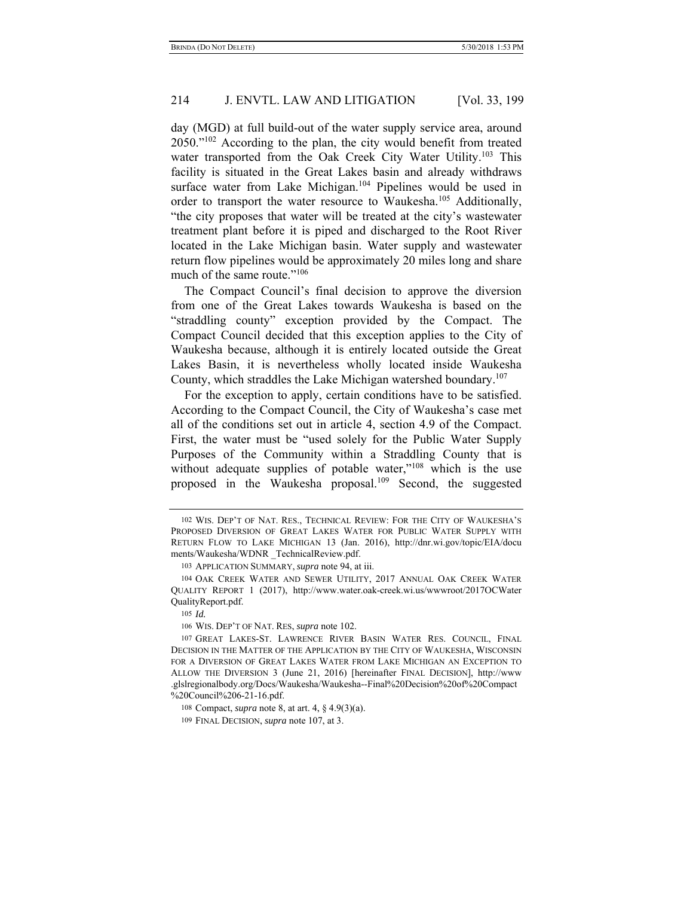day (MGD) at full build-out of the water supply service area, around 2050."102 According to the plan, the city would benefit from treated water transported from the Oak Creek City Water Utility.<sup>103</sup> This facility is situated in the Great Lakes basin and already withdraws surface water from Lake Michigan.<sup>104</sup> Pipelines would be used in order to transport the water resource to Waukesha.<sup>105</sup> Additionally, "the city proposes that water will be treated at the city's wastewater treatment plant before it is piped and discharged to the Root River located in the Lake Michigan basin. Water supply and wastewater return flow pipelines would be approximately 20 miles long and share much of the same route."<sup>106</sup>

The Compact Council's final decision to approve the diversion from one of the Great Lakes towards Waukesha is based on the "straddling county" exception provided by the Compact. The Compact Council decided that this exception applies to the City of Waukesha because, although it is entirely located outside the Great Lakes Basin, it is nevertheless wholly located inside Waukesha County, which straddles the Lake Michigan watershed boundary.<sup>107</sup>

For the exception to apply, certain conditions have to be satisfied. According to the Compact Council, the City of Waukesha's case met all of the conditions set out in article 4, section 4.9 of the Compact. First, the water must be "used solely for the Public Water Supply Purposes of the Community within a Straddling County that is without adequate supplies of potable water,"<sup>108</sup> which is the use proposed in the Waukesha proposal.109 Second, the suggested

<sup>102</sup> WIS. DEP'T OF NAT. RES., TECHNICAL REVIEW: FOR THE CITY OF WAUKESHA'S PROPOSED DIVERSION OF GREAT LAKES WATER FOR PUBLIC WATER SUPPLY WITH RETURN FLOW TO LAKE MICHIGAN 13 (Jan. 2016), http://dnr.wi.gov/topic/EIA/docu ments/Waukesha/WDNR \_TechnicalReview.pdf.

<sup>103</sup> APPLICATION SUMMARY, *supra* note 94, at iii.

<sup>104</sup> OAK CREEK WATER AND SEWER UTILITY, 2017 ANNUAL OAK CREEK WATER QUALITY REPORT 1 (2017), http://www.water.oak-creek.wi.us/wwwroot/2017OCWater QualityReport.pdf.

<sup>105</sup> *Id.*

<sup>106</sup> WIS. DEP'T OF NAT. RES, *supra* note 102.

<sup>107</sup> GREAT LAKES-ST. LAWRENCE RIVER BASIN WATER RES. COUNCIL, FINAL DECISION IN THE MATTER OF THE APPLICATION BY THE CITY OF WAUKESHA, WISCONSIN FOR A DIVERSION OF GREAT LAKES WATER FROM LAKE MICHIGAN AN EXCEPTION TO ALLOW THE DIVERSION 3 (June 21, 2016) [hereinafter FINAL DECISION], http://www .glslregionalbody.org/Docs/Waukesha/Waukesha--Final%20Decision%20of%20Compact %20Council%206-21-16.pdf.

<sup>108</sup> Compact, *supra* note 8, at art. 4, § 4.9(3)(a).

<sup>109</sup> FINAL DECISION, *supra* note 107, at 3.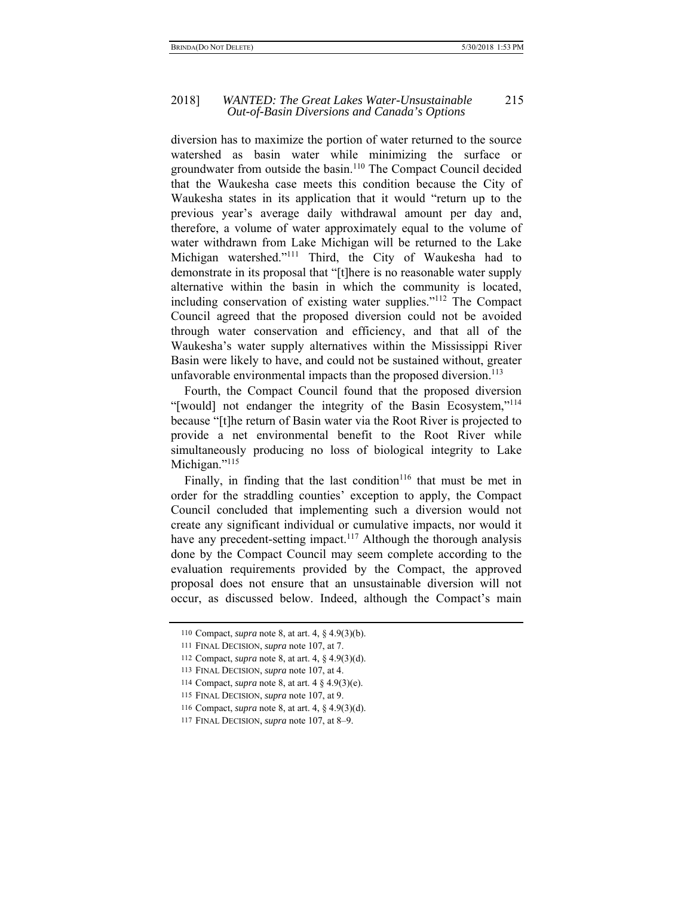#### 2018] *WANTED: The Great Lakes Water-Unsustainable* 215 *Out-of-Basin Diversions and Canada's Options*

diversion has to maximize the portion of water returned to the source watershed as basin water while minimizing the surface or groundwater from outside the basin.110 The Compact Council decided that the Waukesha case meets this condition because the City of Waukesha states in its application that it would "return up to the previous year's average daily withdrawal amount per day and, therefore, a volume of water approximately equal to the volume of water withdrawn from Lake Michigan will be returned to the Lake Michigan watershed."111 Third, the City of Waukesha had to demonstrate in its proposal that "[t]here is no reasonable water supply alternative within the basin in which the community is located, including conservation of existing water supplies."112 The Compact Council agreed that the proposed diversion could not be avoided through water conservation and efficiency, and that all of the Waukesha's water supply alternatives within the Mississippi River Basin were likely to have, and could not be sustained without, greater unfavorable environmental impacts than the proposed diversion.<sup>113</sup>

Fourth, the Compact Council found that the proposed diversion "[would] not endanger the integrity of the Basin Ecosystem,"<sup>114</sup> because "[t]he return of Basin water via the Root River is projected to provide a net environmental benefit to the Root River while simultaneously producing no loss of biological integrity to Lake Michigan."<sup>115</sup>

Finally, in finding that the last condition<sup>116</sup> that must be met in order for the straddling counties' exception to apply, the Compact Council concluded that implementing such a diversion would not create any significant individual or cumulative impacts, nor would it have any precedent-setting impact.<sup>117</sup> Although the thorough analysis done by the Compact Council may seem complete according to the evaluation requirements provided by the Compact, the approved proposal does not ensure that an unsustainable diversion will not occur, as discussed below. Indeed, although the Compact's main

<sup>110</sup> Compact, *supra* note 8, at art. 4, § 4.9(3)(b).

<sup>111</sup> FINAL DECISION, *supra* note 107, at 7.

<sup>112</sup> Compact, *supra* note 8, at art. 4, § 4.9(3)(d).

<sup>113</sup> FINAL DECISION, *supra* note 107, at 4.

<sup>114</sup> Compact, *supra* note 8, at art. 4 § 4.9(3)(e).

<sup>115</sup> FINAL DECISION, *supra* note 107, at 9.

<sup>116</sup> Compact, *supra* note 8, at art. 4, § 4.9(3)(d).

<sup>117</sup> FINAL DECISION, *supra* note 107, at 8–9.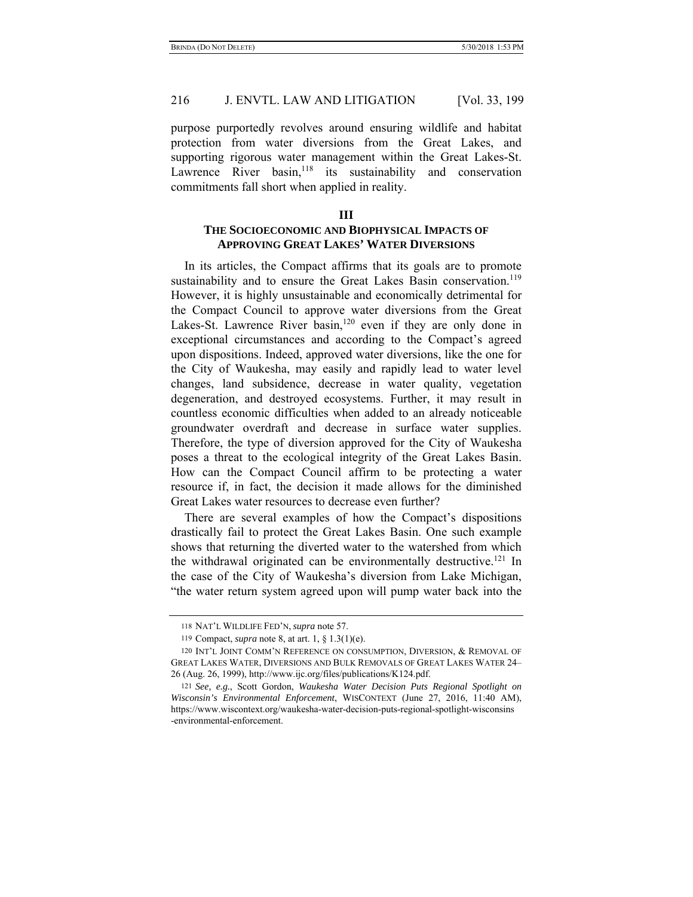purpose purportedly revolves around ensuring wildlife and habitat protection from water diversions from the Great Lakes, and supporting rigorous water management within the Great Lakes-St. Lawrence River  $basin,$ <sup>118</sup> its sustainability and conservation commitments fall short when applied in reality.

# **THE SOCIOECONOMIC AND BIOPHYSICAL IMPACTS OF APPROVING GREAT LAKES' WATER DIVERSIONS**

In its articles, the Compact affirms that its goals are to promote sustainability and to ensure the Great Lakes Basin conservation.<sup>119</sup> However, it is highly unsustainable and economically detrimental for the Compact Council to approve water diversions from the Great Lakes-St. Lawrence River basin,<sup>120</sup> even if they are only done in exceptional circumstances and according to the Compact's agreed upon dispositions. Indeed, approved water diversions, like the one for the City of Waukesha, may easily and rapidly lead to water level changes, land subsidence, decrease in water quality, vegetation degeneration, and destroyed ecosystems. Further, it may result in countless economic difficulties when added to an already noticeable groundwater overdraft and decrease in surface water supplies. Therefore, the type of diversion approved for the City of Waukesha poses a threat to the ecological integrity of the Great Lakes Basin. How can the Compact Council affirm to be protecting a water resource if, in fact, the decision it made allows for the diminished Great Lakes water resources to decrease even further?

There are several examples of how the Compact's dispositions drastically fail to protect the Great Lakes Basin. One such example shows that returning the diverted water to the watershed from which the withdrawal originated can be environmentally destructive.<sup>121</sup> In the case of the City of Waukesha's diversion from Lake Michigan, "the water return system agreed upon will pump water back into the

<sup>118</sup> NAT'L WILDLIFE FED'N, *supra* note 57.

<sup>119</sup> Compact, *supra* note 8, at art. 1, § 1.3(1)(e).

<sup>120</sup> INT'L JOINT COMM'N REFERENCE ON CONSUMPTION, DIVERSION, & REMOVAL OF GREAT LAKES WATER, DIVERSIONS AND BULK REMOVALS OF GREAT LAKES WATER 24– 26 (Aug. 26, 1999), http://www.ijc.org/files/publications/K124.pdf.

<sup>121</sup> *See, e.g.*, Scott Gordon, *Waukesha Water Decision Puts Regional Spotlight on Wisconsin's Environmental Enforcement*, WISCONTEXT (June 27, 2016, 11:40 AM), https://www.wiscontext.org/waukesha-water-decision-puts-regional-spotlight-wisconsins -environmental-enforcement.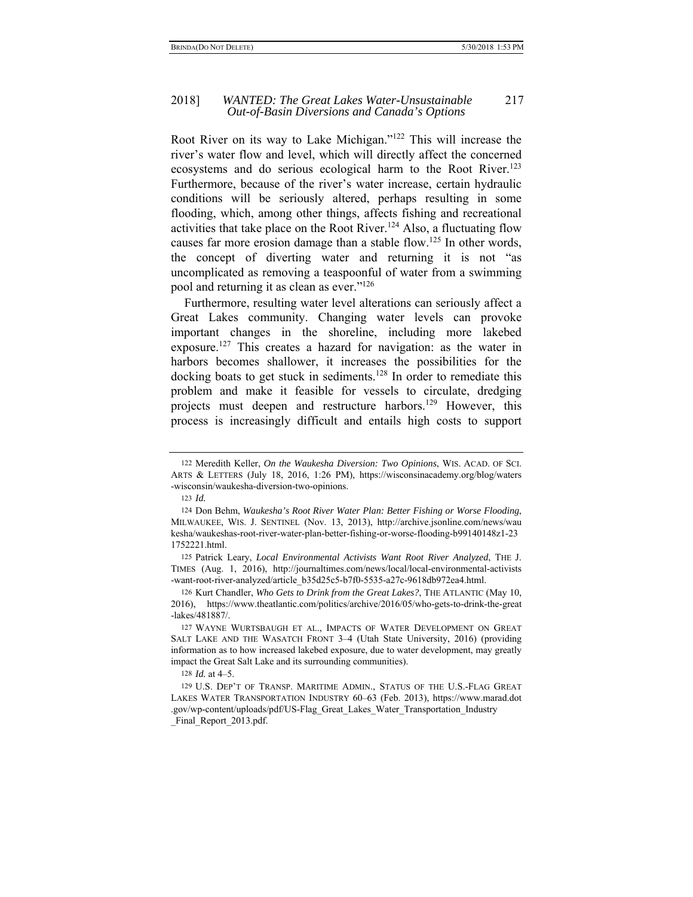#### 2018] *WANTED: The Great Lakes Water-Unsustainable* 217 *Out-of-Basin Diversions and Canada's Options*

Root River on its way to Lake Michigan."122 This will increase the river's water flow and level, which will directly affect the concerned ecosystems and do serious ecological harm to the Root River.<sup>123</sup> Furthermore, because of the river's water increase, certain hydraulic conditions will be seriously altered, perhaps resulting in some flooding, which, among other things, affects fishing and recreational activities that take place on the Root River.<sup>124</sup> Also, a fluctuating flow causes far more erosion damage than a stable flow.<sup>125</sup> In other words, the concept of diverting water and returning it is not "as uncomplicated as removing a teaspoonful of water from a swimming pool and returning it as clean as ever."126

Furthermore, resulting water level alterations can seriously affect a Great Lakes community. Changing water levels can provoke important changes in the shoreline, including more lakebed exposure.127 This creates a hazard for navigation: as the water in harbors becomes shallower, it increases the possibilities for the docking boats to get stuck in sediments.<sup>128</sup> In order to remediate this problem and make it feasible for vessels to circulate, dredging projects must deepen and restructure harbors.<sup>129</sup> However, this process is increasingly difficult and entails high costs to support

128 *Id.* at 4–5.

<sup>122</sup> Meredith Keller, *On the Waukesha Diversion: Two Opinions*, WIS. ACAD. OF SCI. ARTS & LETTERS (July 18, 2016, 1:26 PM), https://wisconsinacademy.org/blog/waters -wisconsin/waukesha-diversion-two-opinions.

<sup>123</sup> *Id.*

<sup>124</sup> Don Behm, *Waukesha's Root River Water Plan: Better Fishing or Worse Flooding*, MILWAUKEE, WIS. J. SENTINEL (Nov. 13, 2013), http://archive.jsonline.com/news/wau kesha/waukeshas-root-river-water-plan-better-fishing-or-worse-flooding-b99140148z1-23 1752221.html.

<sup>125</sup> Patrick Leary, *Local Environmental Activists Want Root River Analyzed*, THE J. TIMES (Aug. 1, 2016), http://journaltimes.com/news/local/local-environmental-activists -want-root-river-analyzed/article\_b35d25c5-b7f0-5535-a27c-9618db972ea4.html.

<sup>126</sup> Kurt Chandler, *Who Gets to Drink from the Great Lakes?*, THE ATLANTIC (May 10, 2016), https://www.theatlantic.com/politics/archive/2016/05/who-gets-to-drink-the-great -lakes/481887/.

<sup>127</sup> WAYNE WURTSBAUGH ET AL., IMPACTS OF WATER DEVELOPMENT ON GREAT SALT LAKE AND THE WASATCH FRONT 3–4 (Utah State University, 2016) (providing information as to how increased lakebed exposure, due to water development, may greatly impact the Great Salt Lake and its surrounding communities).

<sup>129</sup> U.S. DEP'T OF TRANSP. MARITIME ADMIN., STATUS OF THE U.S.-FLAG GREAT LAKES WATER TRANSPORTATION INDUSTRY 60–63 (Feb. 2013), https://www.marad.dot .gov/wp-content/uploads/pdf/US-Flag\_Great\_Lakes\_Water\_Transportation\_Industry Final Report 2013.pdf.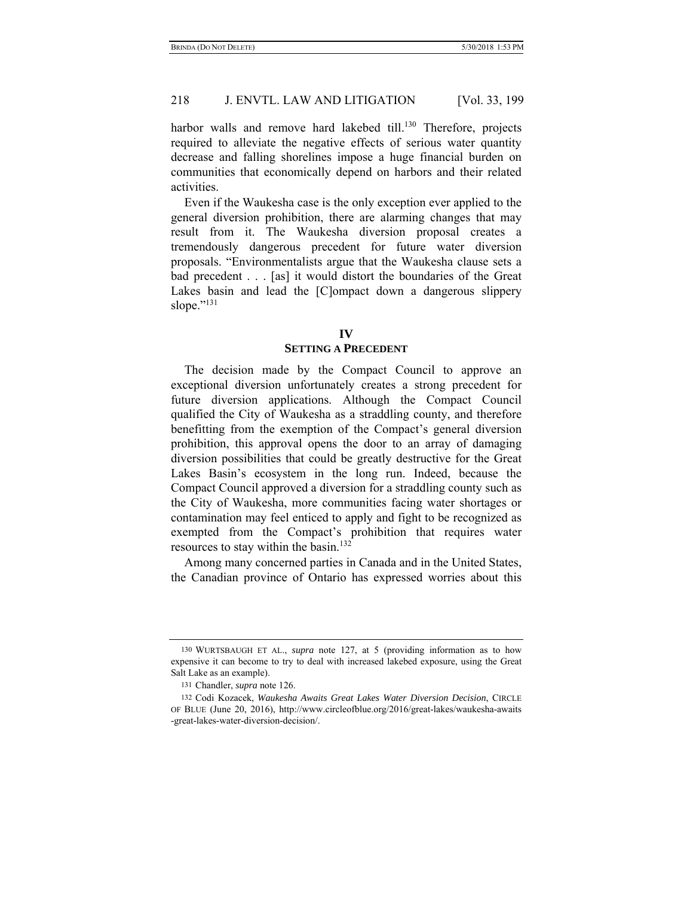harbor walls and remove hard lakebed till.<sup>130</sup> Therefore, projects required to alleviate the negative effects of serious water quantity decrease and falling shorelines impose a huge financial burden on communities that economically depend on harbors and their related activities.

Even if the Waukesha case is the only exception ever applied to the general diversion prohibition, there are alarming changes that may result from it. The Waukesha diversion proposal creates a tremendously dangerous precedent for future water diversion proposals. "Environmentalists argue that the Waukesha clause sets a bad precedent . . . [as] it would distort the boundaries of the Great Lakes basin and lead the [C]ompact down a dangerous slippery slope."<sup>131</sup>

#### **IV**

#### **SETTING A PRECEDENT**

The decision made by the Compact Council to approve an exceptional diversion unfortunately creates a strong precedent for future diversion applications. Although the Compact Council qualified the City of Waukesha as a straddling county, and therefore benefitting from the exemption of the Compact's general diversion prohibition, this approval opens the door to an array of damaging diversion possibilities that could be greatly destructive for the Great Lakes Basin's ecosystem in the long run. Indeed, because the Compact Council approved a diversion for a straddling county such as the City of Waukesha, more communities facing water shortages or contamination may feel enticed to apply and fight to be recognized as exempted from the Compact's prohibition that requires water resources to stay within the basin.<sup>132</sup>

Among many concerned parties in Canada and in the United States, the Canadian province of Ontario has expressed worries about this

<sup>130</sup> WURTSBAUGH ET AL., *supra* note 127, at 5 (providing information as to how expensive it can become to try to deal with increased lakebed exposure, using the Great Salt Lake as an example).

<sup>131</sup> Chandler, *supra* note 126.

<sup>132</sup> Codi Kozacek, *Waukesha Awaits Great Lakes Water Diversion Decision*, CIRCLE OF BLUE (June 20, 2016), http://www.circleofblue.org/2016/great-lakes/waukesha-awaits -great-lakes-water-diversion-decision/.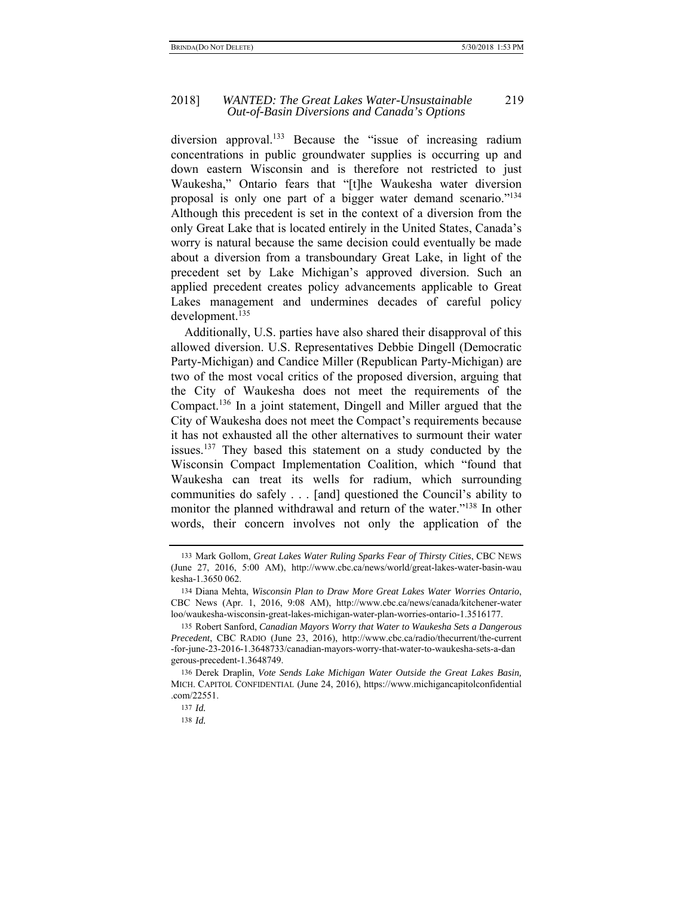diversion approval.<sup>133</sup> Because the "issue of increasing radium concentrations in public groundwater supplies is occurring up and down eastern Wisconsin and is therefore not restricted to just Waukesha," Ontario fears that "[t]he Waukesha water diversion proposal is only one part of a bigger water demand scenario."134 Although this precedent is set in the context of a diversion from the only Great Lake that is located entirely in the United States, Canada's worry is natural because the same decision could eventually be made about a diversion from a transboundary Great Lake, in light of the precedent set by Lake Michigan's approved diversion. Such an applied precedent creates policy advancements applicable to Great Lakes management and undermines decades of careful policy development.<sup>135</sup>

Additionally, U.S. parties have also shared their disapproval of this allowed diversion. U.S. Representatives Debbie Dingell (Democratic Party-Michigan) and Candice Miller (Republican Party-Michigan) are two of the most vocal critics of the proposed diversion, arguing that the City of Waukesha does not meet the requirements of the Compact.136 In a joint statement, Dingell and Miller argued that the City of Waukesha does not meet the Compact's requirements because it has not exhausted all the other alternatives to surmount their water issues.<sup>137</sup> They based this statement on a study conducted by the Wisconsin Compact Implementation Coalition, which "found that Waukesha can treat its wells for radium, which surrounding communities do safely  $\ldots$  [and] questioned the Council's ability to monitor the planned withdrawal and return of the water."138 In other words, their concern involves not only the application of the

<sup>133</sup> Mark Gollom, *Great Lakes Water Ruling Sparks Fear of Thirsty Cities*, CBC NEWS (June 27, 2016, 5:00 AM), http://www.cbc.ca/news/world/great-lakes-water-basin-wau kesha-1.3650 062.

<sup>134</sup> Diana Mehta, *Wisconsin Plan to Draw More Great Lakes Water Worries Ontario*, CBC News (Apr. 1, 2016, 9:08 AM), http://www.cbc.ca/news/canada/kitchener-water loo/waukesha-wisconsin-great-lakes-michigan-water-plan-worries-ontario-1.3516177.

<sup>135</sup> Robert Sanford, *Canadian Mayors Worry that Water to Waukesha Sets a Dangerous Precedent*, CBC RADIO (June 23, 2016), http://www.cbc.ca/radio/thecurrent/the-current -for-june-23-2016-1.3648733/canadian-mayors-worry-that-water-to-waukesha-sets-a-dan gerous-precedent-1.3648749.

<sup>136</sup> Derek Draplin, *Vote Sends Lake Michigan Water Outside the Great Lakes Basin,* MICH. CAPITOL CONFIDENTIAL (June 24, 2016), https://www.michigancapitolconfidential .com/22551.

<sup>137</sup> *Id.*

<sup>138</sup> *Id.*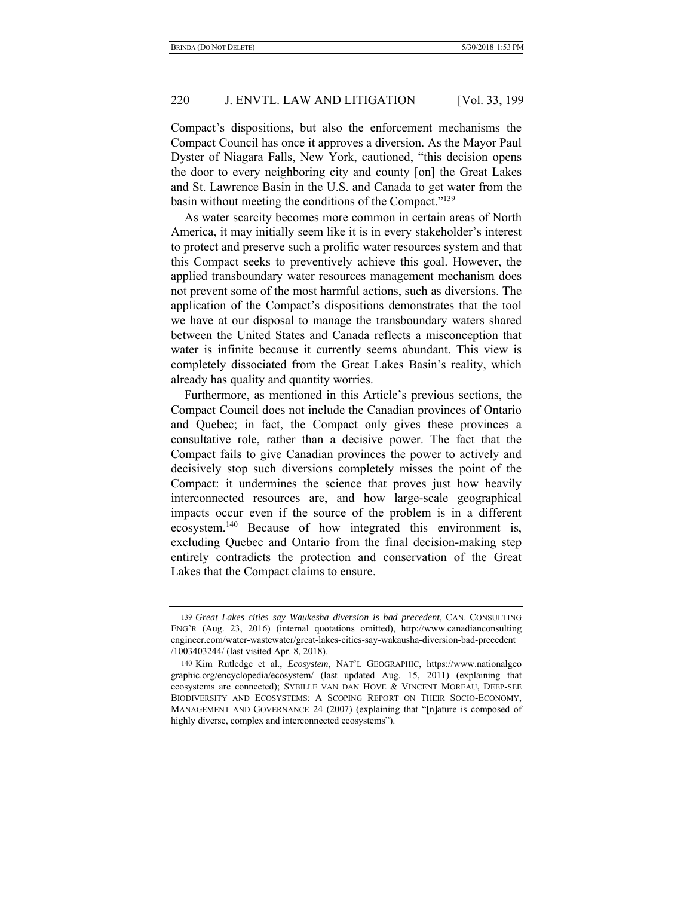Compact's dispositions, but also the enforcement mechanisms the Compact Council has once it approves a diversion. As the Mayor Paul Dyster of Niagara Falls, New York, cautioned, "this decision opens the door to every neighboring city and county [on] the Great Lakes and St. Lawrence Basin in the U.S. and Canada to get water from the basin without meeting the conditions of the Compact."<sup>139</sup>

As water scarcity becomes more common in certain areas of North America, it may initially seem like it is in every stakeholder's interest to protect and preserve such a prolific water resources system and that this Compact seeks to preventively achieve this goal. However, the applied transboundary water resources management mechanism does not prevent some of the most harmful actions, such as diversions. The application of the Compact's dispositions demonstrates that the tool we have at our disposal to manage the transboundary waters shared between the United States and Canada reflects a misconception that water is infinite because it currently seems abundant. This view is completely dissociated from the Great Lakes Basin's reality, which already has quality and quantity worries.

Furthermore, as mentioned in this Article's previous sections, the Compact Council does not include the Canadian provinces of Ontario and Quebec; in fact, the Compact only gives these provinces a consultative role, rather than a decisive power. The fact that the Compact fails to give Canadian provinces the power to actively and decisively stop such diversions completely misses the point of the Compact: it undermines the science that proves just how heavily interconnected resources are, and how large-scale geographical impacts occur even if the source of the problem is in a different ecosystem.140 Because of how integrated this environment is, excluding Quebec and Ontario from the final decision-making step entirely contradicts the protection and conservation of the Great Lakes that the Compact claims to ensure.

<sup>139</sup> *Great Lakes cities say Waukesha diversion is bad precedent*, CAN. CONSULTING ENG'R (Aug. 23, 2016) (internal quotations omitted), http://www.canadianconsulting engineer.com/water-wastewater/great-lakes-cities-say-wakausha-diversion-bad-precedent /1003403244/ (last visited Apr. 8, 2018).

<sup>140</sup> Kim Rutledge et al., *Ecosystem*, NAT'L GEOGRAPHIC, https://www.nationalgeo graphic.org/encyclopedia/ecosystem/ (last updated Aug. 15, 2011) (explaining that ecosystems are connected); SYBILLE VAN DAN HOVE & VINCENT MOREAU, DEEP-SEE BIODIVERSITY AND ECOSYSTEMS: A SCOPING REPORT ON THEIR SOCIO-ECONOMY, MANAGEMENT AND GOVERNANCE 24 (2007) (explaining that "[n]ature is composed of highly diverse, complex and interconnected ecosystems").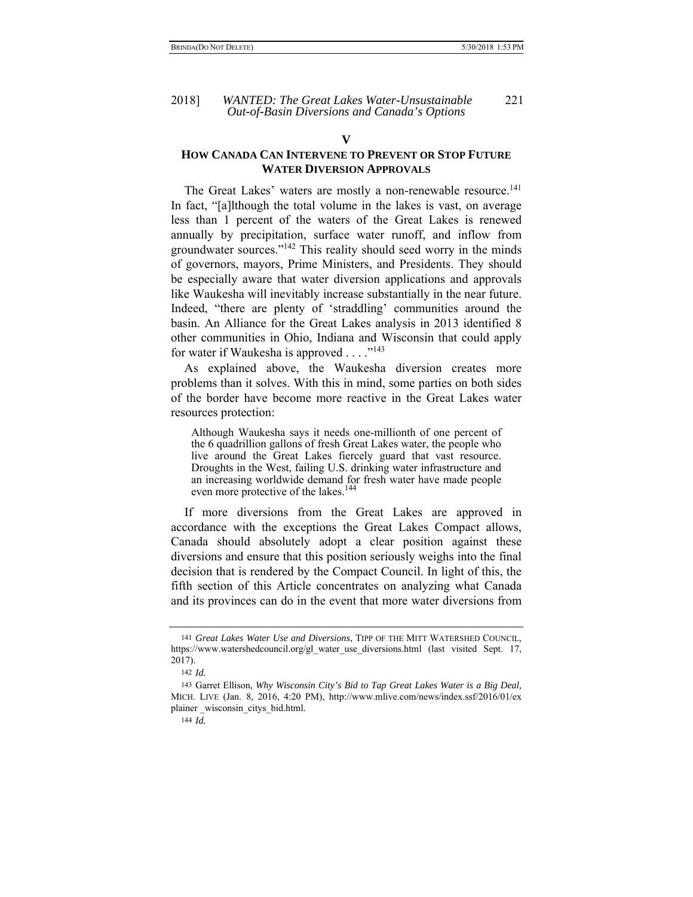#### **V**

# **HOW CANADA CAN INTERVENE TO PREVENT OR STOP FUTURE WATER DIVERSION APPROVALS**

The Great Lakes' waters are mostly a non-renewable resource.<sup>141</sup> In fact, "[a]lthough the total volume in the lakes is vast, on average less than 1 percent of the waters of the Great Lakes is renewed annually by precipitation, surface water runoff, and inflow from groundwater sources."142 This reality should seed worry in the minds of governors, mayors, Prime Ministers, and Presidents. They should be especially aware that water diversion applications and approvals like Waukesha will inevitably increase substantially in the near future. Indeed, "there are plenty of 'straddling' communities around the basin. An Alliance for the Great Lakes analysis in 2013 identified 8 other communities in Ohio, Indiana and Wisconsin that could apply for water if Waukesha is approved  $\ldots$  ."<sup>143</sup>

As explained above, the Waukesha diversion creates more problems than it solves. With this in mind, some parties on both sides of the border have become more reactive in the Great Lakes water resources protection:

Although Waukesha says it needs one-millionth of one percent of the 6 quadrillion gallons of fresh Great Lakes water, the people who live around the Great Lakes fiercely guard that vast resource. Droughts in the West, failing U.S. drinking water infrastructure and an increasing worldwide demand for fresh water have made people even more protective of the lakes.<sup>144</sup>

If more diversions from the Great Lakes are approved in accordance with the exceptions the Great Lakes Compact allows, Canada should absolutely adopt a clear position against these diversions and ensure that this position seriously weighs into the final decision that is rendered by the Compact Council. In light of this, the fifth section of this Article concentrates on analyzing what Canada and its provinces can do in the event that more water diversions from

<sup>141</sup> *Great Lakes Water Use and Diversions*, TIPP OF THE MITT WATERSHED COUNCIL, https://www.watershedcouncil.org/gl\_water\_use\_diversions.html (last\_visited Sept. 17, 2017).

<sup>142</sup> *Id.*

<sup>143</sup> Garret Ellison, *Why Wisconsin City's Bid to Tap Great Lakes Water is a Big Deal,* MICH. LIVE (Jan. 8, 2016, 4:20 PM), http://www.mlive.com/news/index.ssf/2016/01/ex plainer \_wisconsin\_citys\_bid.html.

<sup>144</sup> *Id.*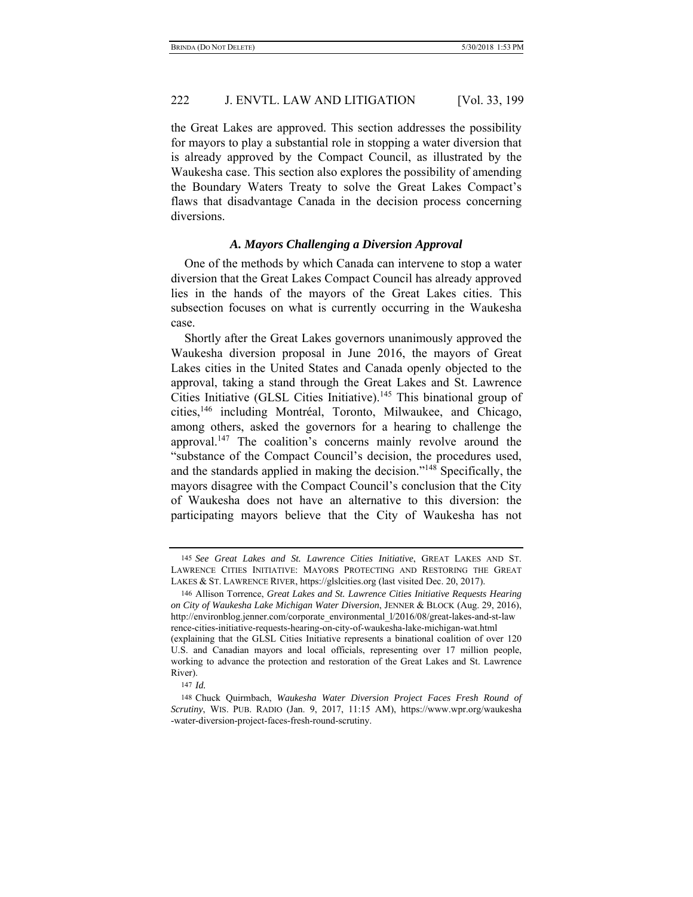the Great Lakes are approved. This section addresses the possibility for mayors to play a substantial role in stopping a water diversion that is already approved by the Compact Council, as illustrated by the Waukesha case. This section also explores the possibility of amending the Boundary Waters Treaty to solve the Great Lakes Compact's flaws that disadvantage Canada in the decision process concerning diversions.

# *A. Mayors Challenging a Diversion Approval*

One of the methods by which Canada can intervene to stop a water diversion that the Great Lakes Compact Council has already approved lies in the hands of the mayors of the Great Lakes cities. This subsection focuses on what is currently occurring in the Waukesha case.

Shortly after the Great Lakes governors unanimously approved the Waukesha diversion proposal in June 2016, the mayors of Great Lakes cities in the United States and Canada openly objected to the approval, taking a stand through the Great Lakes and St. Lawrence Cities Initiative (GLSL Cities Initiative).<sup>145</sup> This binational group of cities,146 including Montréal, Toronto, Milwaukee, and Chicago, among others, asked the governors for a hearing to challenge the approval.<sup>147</sup> The coalition's concerns mainly revolve around the "substance of the Compact Council's decision, the procedures used, and the standards applied in making the decision."148 Specifically, the mayors disagree with the Compact Council's conclusion that the City of Waukesha does not have an alternative to this diversion: the participating mayors believe that the City of Waukesha has not

<sup>145</sup> *See Great Lakes and St. Lawrence Cities Initiative*, GREAT LAKES AND ST. LAWRENCE CITIES INITIATIVE: MAYORS PROTECTING AND RESTORING THE GREAT LAKES & ST. LAWRENCE RIVER, https://glslcities.org (last visited Dec. 20, 2017).

<sup>146</sup> Allison Torrence, *Great Lakes and St. Lawrence Cities Initiative Requests Hearing on City of Waukesha Lake Michigan Water Diversion*, JENNER & BLOCK (Aug. 29, 2016), http://environblog.jenner.com/corporate\_environmental\_l/2016/08/great-lakes-and-st-law rence-cities-initiative-requests-hearing-on-city-of-waukesha-lake-michigan-wat.html (explaining that the GLSL Cities Initiative represents a binational coalition of over 120 U.S. and Canadian mayors and local officials, representing over 17 million people, working to advance the protection and restoration of the Great Lakes and St. Lawrence River).

<sup>147</sup> *Id.*

<sup>148</sup> Chuck Quirmbach, *Waukesha Water Diversion Project Faces Fresh Round of Scrutiny*, WIS. PUB. RADIO (Jan. 9, 2017, 11:15 AM), https://www.wpr.org/waukesha -water-diversion-project-faces-fresh-round-scrutiny.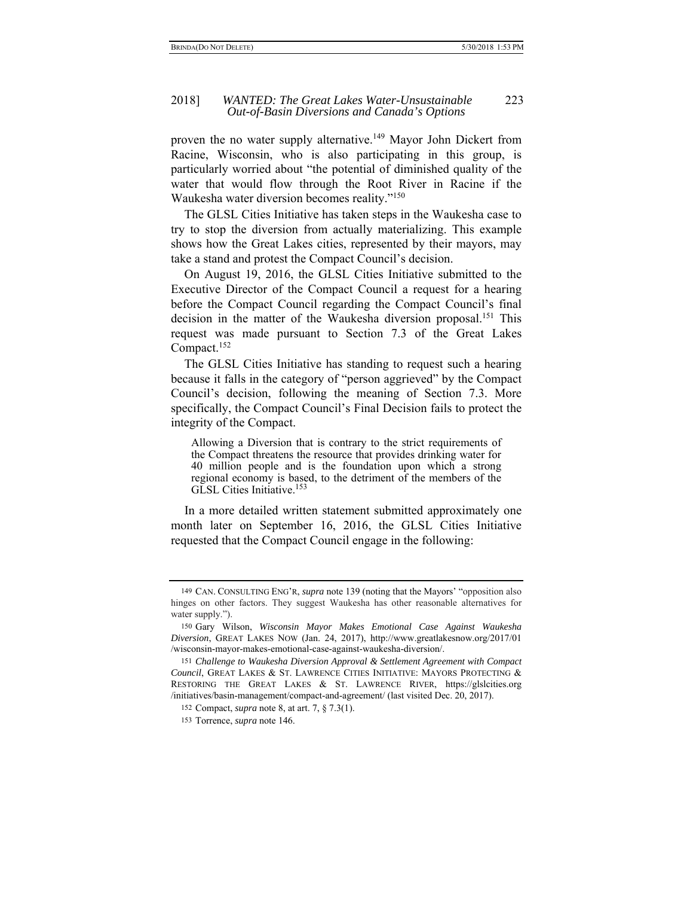#### 2018] *WANTED: The Great Lakes Water-Unsustainable* 223 *Out-of-Basin Diversions and Canada's Options*

proven the no water supply alternative.<sup>149</sup> Mayor John Dickert from Racine, Wisconsin, who is also participating in this group, is particularly worried about "the potential of diminished quality of the water that would flow through the Root River in Racine if the Waukesha water diversion becomes reality."150

The GLSL Cities Initiative has taken steps in the Waukesha case to try to stop the diversion from actually materializing. This example shows how the Great Lakes cities, represented by their mayors, may take a stand and protest the Compact Council's decision.

On August 19, 2016, the GLSL Cities Initiative submitted to the Executive Director of the Compact Council a request for a hearing before the Compact Council regarding the Compact Council's final decision in the matter of the Waukesha diversion proposal.<sup>151</sup> This request was made pursuant to Section 7.3 of the Great Lakes Compact.<sup>152</sup>

The GLSL Cities Initiative has standing to request such a hearing because it falls in the category of "person aggrieved" by the Compact Council's decision, following the meaning of Section 7.3. More specifically, the Compact Council's Final Decision fails to protect the integrity of the Compact.

Allowing a Diversion that is contrary to the strict requirements of the Compact threatens the resource that provides drinking water for 40 million people and is the foundation upon which a strong regional economy is based, to the detriment of the members of the GLSL Cities Initiative.<sup>153</sup>

In a more detailed written statement submitted approximately one month later on September 16, 2016, the GLSL Cities Initiative requested that the Compact Council engage in the following:

<sup>149</sup> CAN. CONSULTING ENG'R, *supra* note 139 (noting that the Mayors' "opposition also hinges on other factors. They suggest Waukesha has other reasonable alternatives for water supply.").

<sup>150</sup> Gary Wilson, *Wisconsin Mayor Makes Emotional Case Against Waukesha Diversion*, GREAT LAKES NOW (Jan. 24, 2017), http://www.greatlakesnow.org/2017/01 /wisconsin-mayor-makes-emotional-case-against-waukesha-diversion/.

<sup>151</sup> *Challenge to Waukesha Diversion Approval & Settlement Agreement with Compact Council*, GREAT LAKES & ST. LAWRENCE CITIES INITIATIVE: MAYORS PROTECTING & RESTORING THE GREAT LAKES & ST. LAWRENCE RIVER, https://glslcities.org /initiatives/basin-management/compact-and-agreement/ (last visited Dec. 20, 2017).

<sup>152</sup> Compact, *supra* note 8, at art. 7, § 7.3(1).

<sup>153</sup> Torrence, *supra* note 146.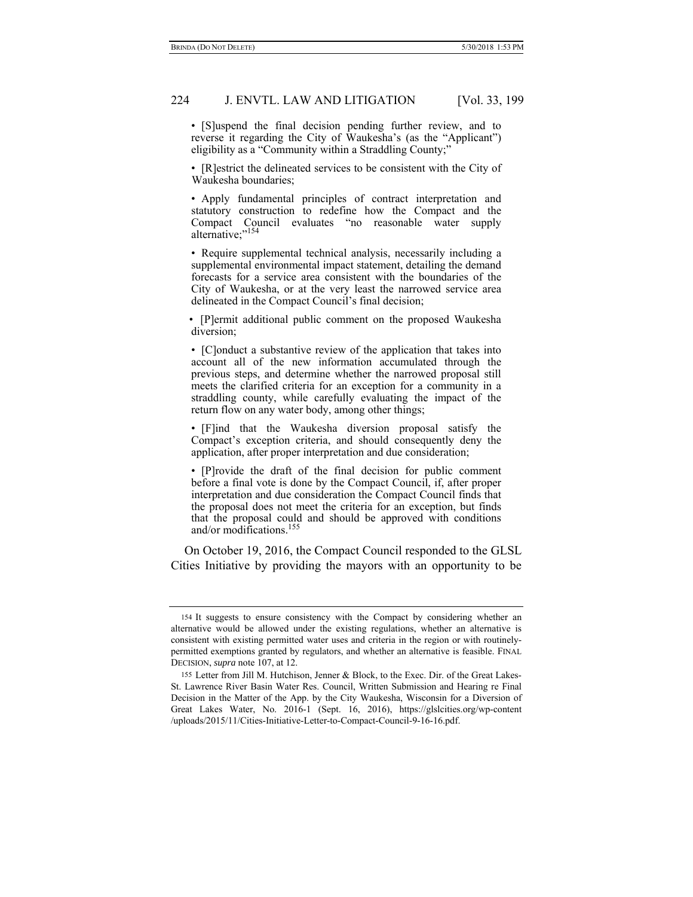• [S]uspend the final decision pending further review, and to reverse it regarding the City of Waukesha's (as the "Applicant") eligibility as a "Community within a Straddling County;"

• [R]estrict the delineated services to be consistent with the City of Waukesha boundaries;

• Apply fundamental principles of contract interpretation and statutory construction to redefine how the Compact and the Compact Council evaluates "no reasonable water supply alternative:"154

• Require supplemental technical analysis, necessarily including a supplemental environmental impact statement, detailing the demand forecasts for a service area consistent with the boundaries of the City of Waukesha, or at the very least the narrowed service area delineated in the Compact Council's final decision;

• [P]ermit additional public comment on the proposed Waukesha diversion;

• [C]onduct a substantive review of the application that takes into account all of the new information accumulated through the previous steps, and determine whether the narrowed proposal still meets the clarified criteria for an exception for a community in a straddling county, while carefully evaluating the impact of the return flow on any water body, among other things;

• [F]ind that the Waukesha diversion proposal satisfy the Compact's exception criteria, and should consequently deny the application, after proper interpretation and due consideration;

• [P]rovide the draft of the final decision for public comment before a final vote is done by the Compact Council, if, after proper interpretation and due consideration the Compact Council finds that the proposal does not meet the criteria for an exception, but finds that the proposal could and should be approved with conditions and/or modifications.155

On October 19, 2016, the Compact Council responded to the GLSL Cities Initiative by providing the mayors with an opportunity to be

<sup>154</sup> It suggests to ensure consistency with the Compact by considering whether an alternative would be allowed under the existing regulations, whether an alternative is consistent with existing permitted water uses and criteria in the region or with routinelypermitted exemptions granted by regulators, and whether an alternative is feasible. FINAL DECISION, *supra* note 107, at 12.

<sup>155</sup> Letter from Jill M. Hutchison, Jenner & Block, to the Exec. Dir. of the Great Lakes-St. Lawrence River Basin Water Res. Council, Written Submission and Hearing re Final Decision in the Matter of the App. by the City Waukesha, Wisconsin for a Diversion of Great Lakes Water, No. 2016-1 (Sept. 16, 2016), https://glslcities.org/wp-content /uploads/2015/11/Cities-Initiative-Letter-to-Compact-Council-9-16-16.pdf.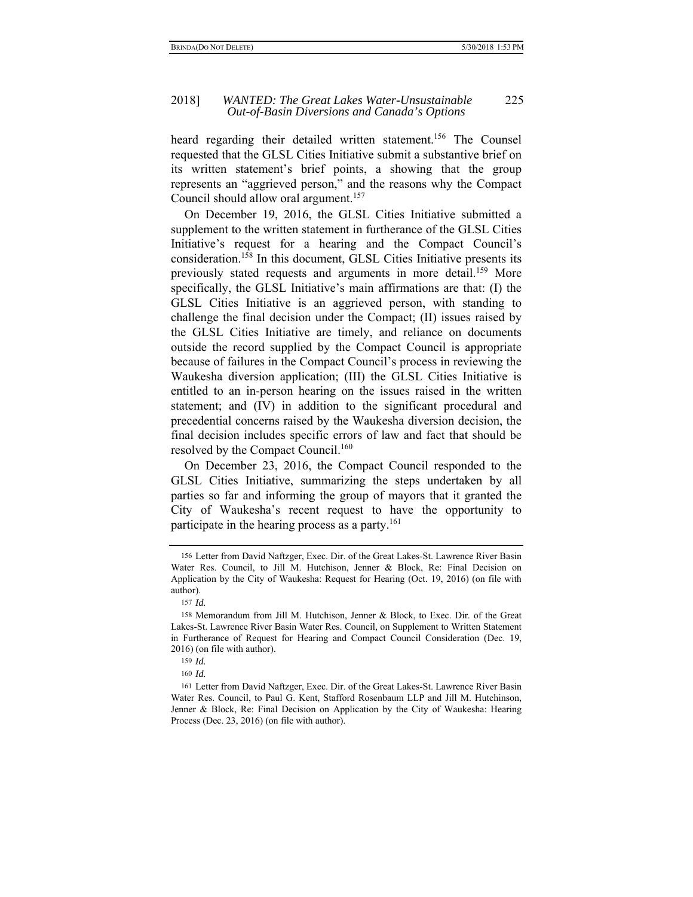#### 2018] *WANTED: The Great Lakes Water-Unsustainable* 225 *Out-of-Basin Diversions and Canada's Options*

heard regarding their detailed written statement.<sup>156</sup> The Counsel requested that the GLSL Cities Initiative submit a substantive brief on its written statement's brief points, a showing that the group represents an "aggrieved person," and the reasons why the Compact Council should allow oral argument.<sup>157</sup>

On December 19, 2016, the GLSL Cities Initiative submitted a supplement to the written statement in furtherance of the GLSL Cities Initiative's request for a hearing and the Compact Council's consideration.158 In this document, GLSL Cities Initiative presents its previously stated requests and arguments in more detail.<sup>159</sup> More specifically, the GLSL Initiative's main affirmations are that: (I) the GLSL Cities Initiative is an aggrieved person, with standing to challenge the final decision under the Compact; (II) issues raised by the GLSL Cities Initiative are timely, and reliance on documents outside the record supplied by the Compact Council is appropriate because of failures in the Compact Council's process in reviewing the Waukesha diversion application; (III) the GLSL Cities Initiative is entitled to an in-person hearing on the issues raised in the written statement; and (IV) in addition to the significant procedural and precedential concerns raised by the Waukesha diversion decision, the final decision includes specific errors of law and fact that should be resolved by the Compact Council.<sup>160</sup>

On December 23, 2016, the Compact Council responded to the GLSL Cities Initiative, summarizing the steps undertaken by all parties so far and informing the group of mayors that it granted the City of Waukesha's recent request to have the opportunity to participate in the hearing process as a party.<sup>161</sup>

<sup>156</sup> Letter from David Naftzger, Exec. Dir. of the Great Lakes-St. Lawrence River Basin Water Res. Council, to Jill M. Hutchison, Jenner & Block, Re: Final Decision on Application by the City of Waukesha: Request for Hearing (Oct. 19, 2016) (on file with author).

<sup>157</sup> *Id.*

<sup>158</sup> Memorandum from Jill M. Hutchison, Jenner & Block, to Exec. Dir. of the Great Lakes-St. Lawrence River Basin Water Res. Council, on Supplement to Written Statement in Furtherance of Request for Hearing and Compact Council Consideration (Dec. 19, 2016) (on file with author).

<sup>159</sup> *Id.*

<sup>160</sup> *Id.*

<sup>161</sup> Letter from David Naftzger, Exec. Dir. of the Great Lakes-St. Lawrence River Basin Water Res. Council, to Paul G. Kent, Stafford Rosenbaum LLP and Jill M. Hutchinson, Jenner & Block, Re: Final Decision on Application by the City of Waukesha: Hearing Process (Dec. 23, 2016) (on file with author).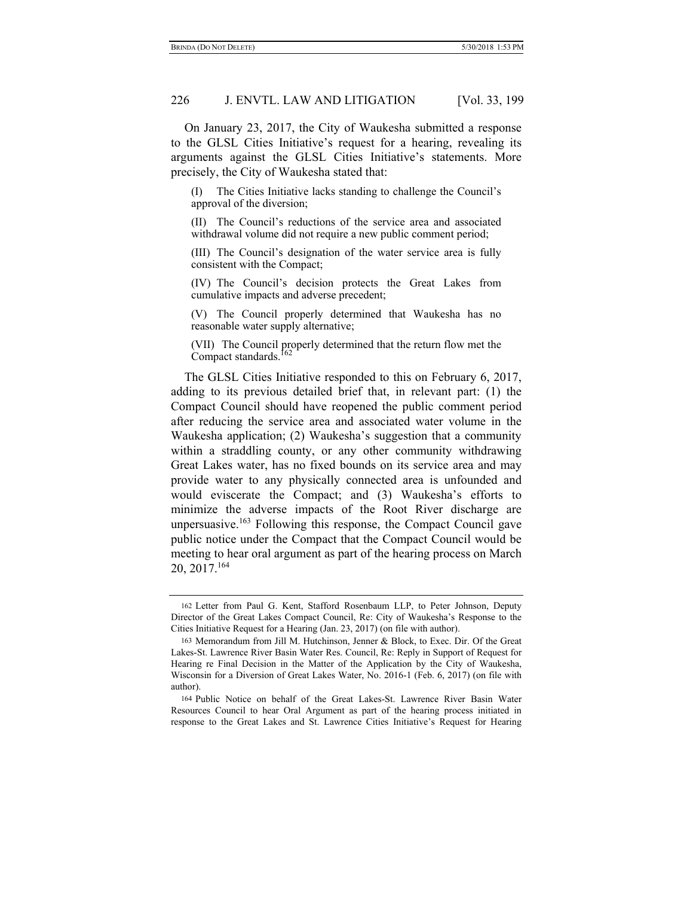On January 23, 2017, the City of Waukesha submitted a response to the GLSL Cities Initiative's request for a hearing, revealing its arguments against the GLSL Cities Initiative's statements. More precisely, the City of Waukesha stated that:

(I) The Cities Initiative lacks standing to challenge the Council's approval of the diversion;

(II) The Council's reductions of the service area and associated withdrawal volume did not require a new public comment period;

(III) The Council's designation of the water service area is fully consistent with the Compact;

(IV) The Council's decision protects the Great Lakes from cumulative impacts and adverse precedent;

(V) The Council properly determined that Waukesha has no reasonable water supply alternative;

(VII) The Council properly determined that the return flow met the Compact standards.<sup>16</sup>

The GLSL Cities Initiative responded to this on February 6, 2017, adding to its previous detailed brief that, in relevant part: (1) the Compact Council should have reopened the public comment period after reducing the service area and associated water volume in the Waukesha application; (2) Waukesha's suggestion that a community within a straddling county, or any other community withdrawing Great Lakes water, has no fixed bounds on its service area and may provide water to any physically connected area is unfounded and would eviscerate the Compact; and (3) Waukesha's efforts to minimize the adverse impacts of the Root River discharge are unpersuasive.163 Following this response, the Compact Council gave public notice under the Compact that the Compact Council would be meeting to hear oral argument as part of the hearing process on March 20, 2017.164

<sup>162</sup> Letter from Paul G. Kent, Stafford Rosenbaum LLP, to Peter Johnson, Deputy Director of the Great Lakes Compact Council, Re: City of Waukesha's Response to the Cities Initiative Request for a Hearing (Jan. 23, 2017) (on file with author).

<sup>163</sup> Memorandum from Jill M. Hutchinson, Jenner & Block, to Exec. Dir. Of the Great Lakes-St. Lawrence River Basin Water Res. Council, Re: Reply in Support of Request for Hearing re Final Decision in the Matter of the Application by the City of Waukesha, Wisconsin for a Diversion of Great Lakes Water, No. 2016-1 (Feb. 6, 2017) (on file with author).

<sup>164</sup> Public Notice on behalf of the Great Lakes-St. Lawrence River Basin Water Resources Council to hear Oral Argument as part of the hearing process initiated in response to the Great Lakes and St. Lawrence Cities Initiative's Request for Hearing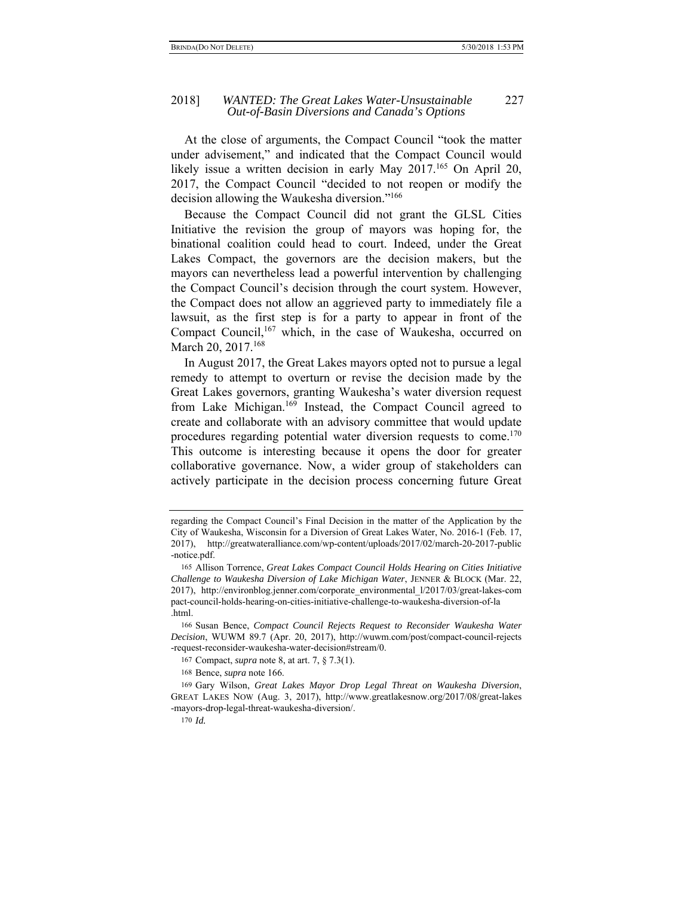At the close of arguments, the Compact Council "took the matter under advisement," and indicated that the Compact Council would likely issue a written decision in early May 2017.<sup>165</sup> On April 20, 2017, the Compact Council "decided to not reopen or modify the decision allowing the Waukesha diversion."166

Because the Compact Council did not grant the GLSL Cities Initiative the revision the group of mayors was hoping for, the binational coalition could head to court. Indeed, under the Great Lakes Compact, the governors are the decision makers, but the mayors can nevertheless lead a powerful intervention by challenging the Compact Council's decision through the court system. However, the Compact does not allow an aggrieved party to immediately file a lawsuit, as the first step is for a party to appear in front of the Compact Council,<sup>167</sup> which, in the case of Waukesha, occurred on March 20, 2017.<sup>168</sup>

In August 2017, the Great Lakes mayors opted not to pursue a legal remedy to attempt to overturn or revise the decision made by the Great Lakes governors, granting Waukesha's water diversion request from Lake Michigan.<sup>169</sup> Instead, the Compact Council agreed to create and collaborate with an advisory committee that would update procedures regarding potential water diversion requests to come.<sup>170</sup> This outcome is interesting because it opens the door for greater collaborative governance. Now, a wider group of stakeholders can actively participate in the decision process concerning future Great

regarding the Compact Council's Final Decision in the matter of the Application by the City of Waukesha, Wisconsin for a Diversion of Great Lakes Water, No. 2016-1 (Feb. 17, 2017), http://greatwateralliance.com/wp-content/uploads/2017/02/march-20-2017-public -notice.pdf.

<sup>165</sup> Allison Torrence, *Great Lakes Compact Council Holds Hearing on Cities Initiative Challenge to Waukesha Diversion of Lake Michigan Water*, JENNER & BLOCK (Mar. 22, 2017), http://environblog.jenner.com/corporate\_environmental\_l/2017/03/great-lakes-com pact-council-holds-hearing-on-cities-initiative-challenge-to-waukesha-diversion-of-la .html.

<sup>166</sup> Susan Bence, *Compact Council Rejects Request to Reconsider Waukesha Water Decision*, WUWM 89.7 (Apr. 20, 2017), http://wuwm.com/post/compact-council-rejects -request-reconsider-waukesha-water-decision#stream/0.

<sup>167</sup> Compact, *supra* note 8, at art. 7, § 7.3(1).

<sup>168</sup> Bence, *supra* note 166.

<sup>169</sup> Gary Wilson, *Great Lakes Mayor Drop Legal Threat on Waukesha Diversion*, GREAT LAKES NOW (Aug. 3, 2017), http://www.greatlakesnow.org/2017/08/great-lakes -mayors-drop-legal-threat-waukesha-diversion/.

<sup>170</sup> *Id.*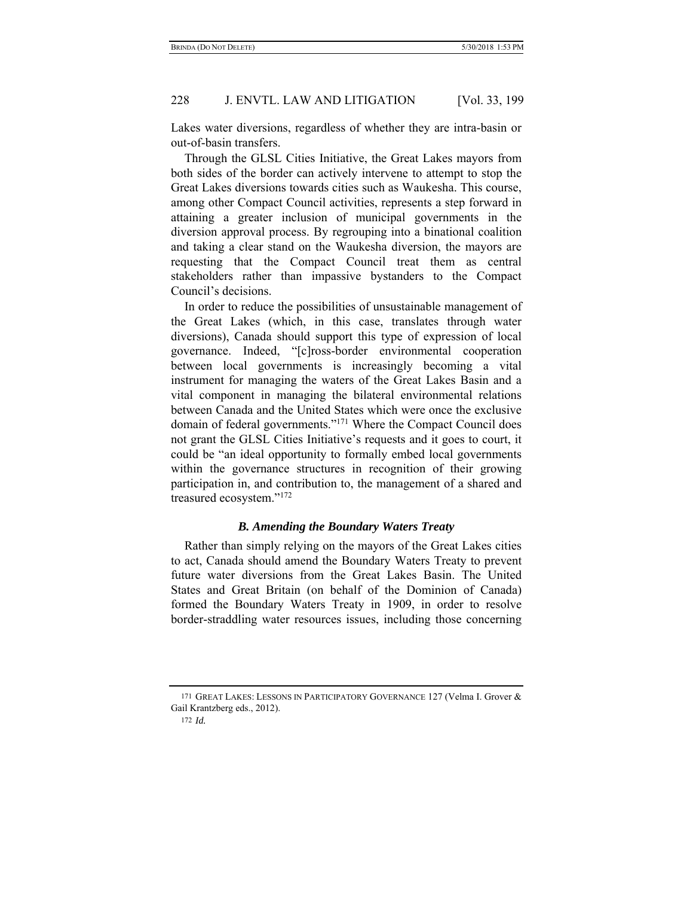Lakes water diversions, regardless of whether they are intra-basin or out-of-basin transfers.

Through the GLSL Cities Initiative, the Great Lakes mayors from both sides of the border can actively intervene to attempt to stop the Great Lakes diversions towards cities such as Waukesha. This course, among other Compact Council activities, represents a step forward in attaining a greater inclusion of municipal governments in the diversion approval process. By regrouping into a binational coalition and taking a clear stand on the Waukesha diversion, the mayors are requesting that the Compact Council treat them as central stakeholders rather than impassive bystanders to the Compact Council's decisions.

In order to reduce the possibilities of unsustainable management of the Great Lakes (which, in this case, translates through water diversions), Canada should support this type of expression of local governance. Indeed, "[c]ross-border environmental cooperation between local governments is increasingly becoming a vital instrument for managing the waters of the Great Lakes Basin and a vital component in managing the bilateral environmental relations between Canada and the United States which were once the exclusive domain of federal governments."171 Where the Compact Council does not grant the GLSL Cities Initiative's requests and it goes to court, it could be "an ideal opportunity to formally embed local governments within the governance structures in recognition of their growing participation in, and contribution to, the management of a shared and treasured ecosystem."172

# *B. Amending the Boundary Waters Treaty*

Rather than simply relying on the mayors of the Great Lakes cities to act, Canada should amend the Boundary Waters Treaty to prevent future water diversions from the Great Lakes Basin. The United States and Great Britain (on behalf of the Dominion of Canada) formed the Boundary Waters Treaty in 1909, in order to resolve border-straddling water resources issues, including those concerning

<sup>171</sup> GREAT LAKES: LESSONS IN PARTICIPATORY GOVERNANCE 127 (Velma I. Grover & Gail Krantzberg eds., 2012).

<sup>172</sup> *Id.*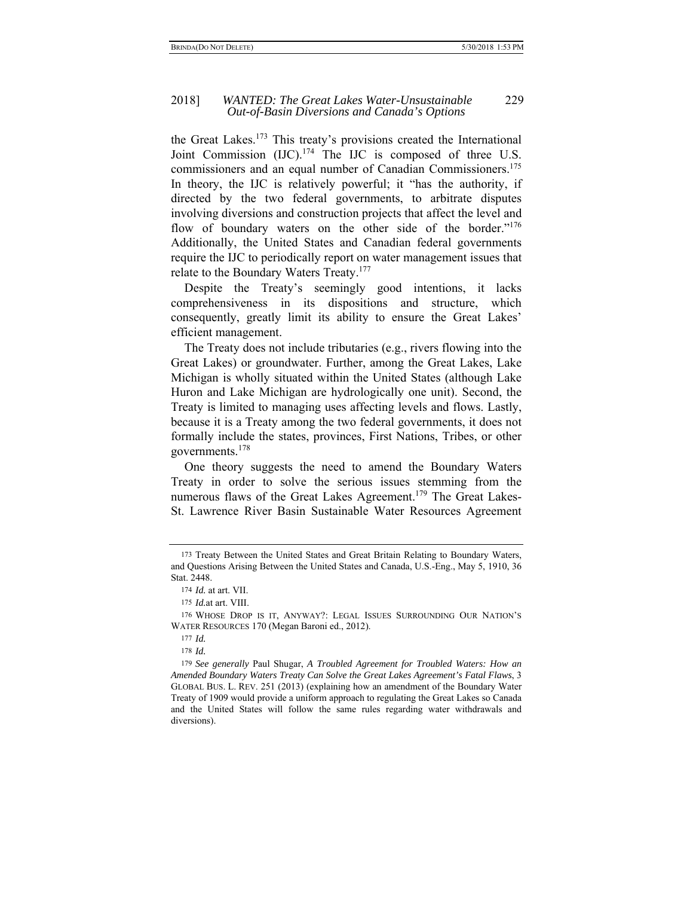#### 2018] *WANTED: The Great Lakes Water-Unsustainable* 229 *Out-of-Basin Diversions and Canada's Options*

the Great Lakes.173 This treaty's provisions created the International Joint Commission (IJC).<sup>174</sup> The IJC is composed of three U.S. commissioners and an equal number of Canadian Commissioners.175 In theory, the IJC is relatively powerful; it "has the authority, if directed by the two federal governments, to arbitrate disputes involving diversions and construction projects that affect the level and flow of boundary waters on the other side of the border."<sup>176</sup> Additionally, the United States and Canadian federal governments require the IJC to periodically report on water management issues that relate to the Boundary Waters Treaty.177

Despite the Treaty's seemingly good intentions, it lacks comprehensiveness in its dispositions and structure, which consequently, greatly limit its ability to ensure the Great Lakes' efficient management.

The Treaty does not include tributaries (e.g., rivers flowing into the Great Lakes) or groundwater. Further, among the Great Lakes, Lake Michigan is wholly situated within the United States (although Lake Huron and Lake Michigan are hydrologically one unit). Second, the Treaty is limited to managing uses affecting levels and flows. Lastly, because it is a Treaty among the two federal governments, it does not formally include the states, provinces, First Nations, Tribes, or other governments.178

One theory suggests the need to amend the Boundary Waters Treaty in order to solve the serious issues stemming from the numerous flaws of the Great Lakes Agreement.<sup>179</sup> The Great Lakes-St. Lawrence River Basin Sustainable Water Resources Agreement

<sup>173</sup> Treaty Between the United States and Great Britain Relating to Boundary Waters, and Questions Arising Between the United States and Canada, U.S.-Eng., May 5, 1910, 36 Stat. 2448.

<sup>174</sup> *Id.* at art. VII.

<sup>175</sup> *Id.*at art. VIII.

<sup>176</sup> WHOSE DROP IS IT, ANYWAY?: LEGAL ISSUES SURROUNDING OUR NATION'S WATER RESOURCES 170 (Megan Baroni ed., 2012).

<sup>177</sup> *Id.*

<sup>178</sup> *Id.* 

<sup>179</sup> *See generally* Paul Shugar, *A Troubled Agreement for Troubled Waters: How an Amended Boundary Waters Treaty Can Solve the Great Lakes Agreement's Fatal Flaws*, 3 GLOBAL BUS. L. REV. 251 (2013) (explaining how an amendment of the Boundary Water Treaty of 1909 would provide a uniform approach to regulating the Great Lakes so Canada and the United States will follow the same rules regarding water withdrawals and diversions).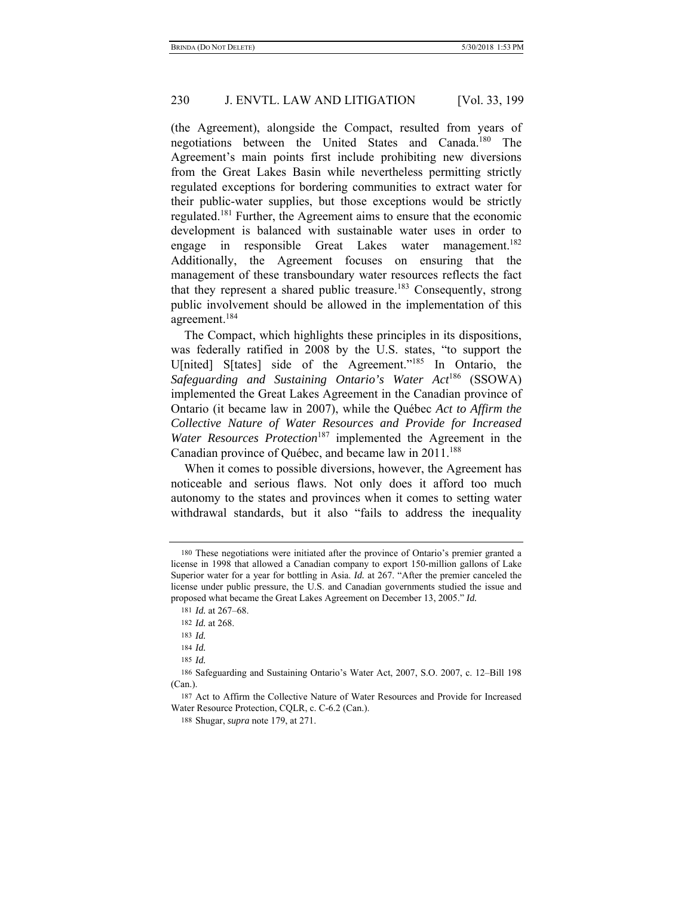(the Agreement), alongside the Compact, resulted from years of negotiations between the United States and Canada.180 The Agreement's main points first include prohibiting new diversions from the Great Lakes Basin while nevertheless permitting strictly regulated exceptions for bordering communities to extract water for their public-water supplies, but those exceptions would be strictly regulated.181 Further, the Agreement aims to ensure that the economic development is balanced with sustainable water uses in order to engage in responsible Great Lakes water management.<sup>182</sup> Additionally, the Agreement focuses on ensuring that the management of these transboundary water resources reflects the fact that they represent a shared public treasure.183 Consequently, strong public involvement should be allowed in the implementation of this agreement.184

The Compact, which highlights these principles in its dispositions, was federally ratified in 2008 by the U.S. states, "to support the U[nited] S[tates] side of the Agreement."185 In Ontario, the *Safeguarding and Sustaining Ontario's Water Act*186 (SSOWA) implemented the Great Lakes Agreement in the Canadian province of Ontario (it became law in 2007), while the Québec *Act to Affirm the Collective Nature of Water Resources and Provide for Increased Water Resources Protection*<sup>187</sup> implemented the Agreement in the Canadian province of Québec, and became law in 2011.<sup>188</sup>

When it comes to possible diversions, however, the Agreement has noticeable and serious flaws. Not only does it afford too much autonomy to the states and provinces when it comes to setting water withdrawal standards, but it also "fails to address the inequality

185 *Id.*

<sup>180</sup> These negotiations were initiated after the province of Ontario's premier granted a license in 1998 that allowed a Canadian company to export 150-million gallons of Lake Superior water for a year for bottling in Asia. *Id.* at 267. "After the premier canceled the license under public pressure, the U.S. and Canadian governments studied the issue and proposed what became the Great Lakes Agreement on December 13, 2005." *Id.*

<sup>181</sup> *Id.* at 267–68.

<sup>182</sup> *Id.* at 268.

<sup>183</sup> *Id.*

<sup>184</sup> *Id.*

<sup>186</sup> Safeguarding and Sustaining Ontario's Water Act, 2007, S.O. 2007, c. 12–Bill 198 (Can.).

<sup>187</sup> Act to Affirm the Collective Nature of Water Resources and Provide for Increased Water Resource Protection, CQLR, c. C-6.2 (Can.).

<sup>188</sup> Shugar, *supra* note 179, at 271.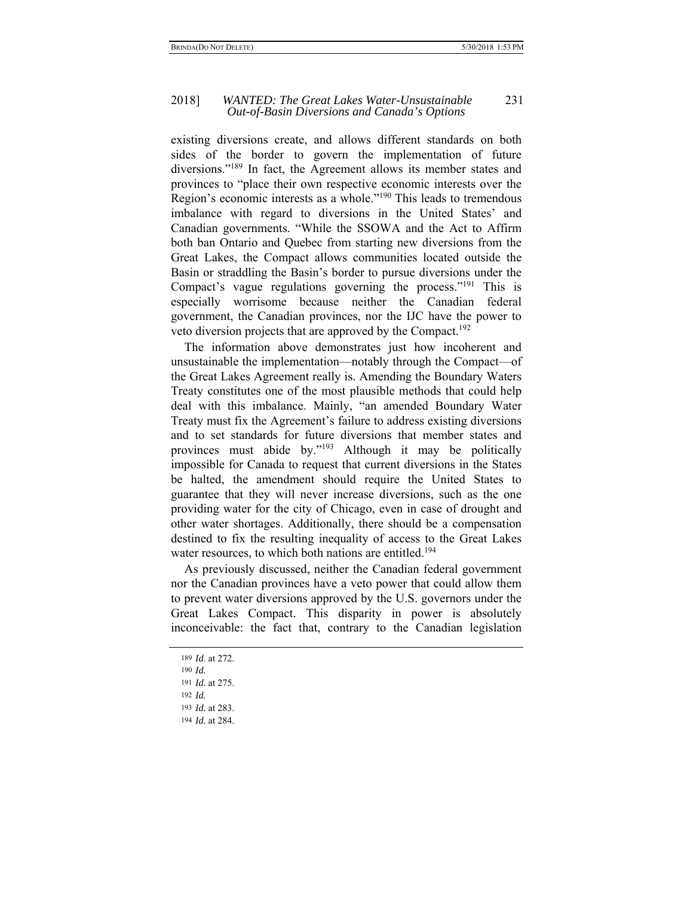#### 2018] *WANTED: The Great Lakes Water-Unsustainable* 231 *Out-of-Basin Diversions and Canada's Options*

existing diversions create, and allows different standards on both sides of the border to govern the implementation of future diversions."189 In fact, the Agreement allows its member states and provinces to "place their own respective economic interests over the Region's economic interests as a whole."190 This leads to tremendous imbalance with regard to diversions in the United States' and Canadian governments. "While the SSOWA and the Act to Affirm both ban Ontario and Quebec from starting new diversions from the Great Lakes, the Compact allows communities located outside the Basin or straddling the Basin's border to pursue diversions under the Compact's vague regulations governing the process."<sup>191</sup> This is especially worrisome because neither the Canadian federal government, the Canadian provinces, nor the IJC have the power to veto diversion projects that are approved by the Compact.192

The information above demonstrates just how incoherent and unsustainable the implementation—notably through the Compact—of the Great Lakes Agreement really is. Amending the Boundary Waters Treaty constitutes one of the most plausible methods that could help deal with this imbalance. Mainly, "an amended Boundary Water Treaty must fix the Agreement's failure to address existing diversions and to set standards for future diversions that member states and provinces must abide by."193 Although it may be politically impossible for Canada to request that current diversions in the States be halted, the amendment should require the United States to guarantee that they will never increase diversions, such as the one providing water for the city of Chicago, even in case of drought and other water shortages. Additionally, there should be a compensation destined to fix the resulting inequality of access to the Great Lakes water resources, to which both nations are entitled.<sup>194</sup>

As previously discussed, neither the Canadian federal government nor the Canadian provinces have a veto power that could allow them to prevent water diversions approved by the U.S. governors under the Great Lakes Compact. This disparity in power is absolutely inconceivable: the fact that, contrary to the Canadian legislation

189 *Id*. at 272. 190 *Id.* 191 *Id.* at 275. 192 *Id.*

<sup>193</sup> *Id.* at 283.

<sup>194</sup> *Id.* at 284.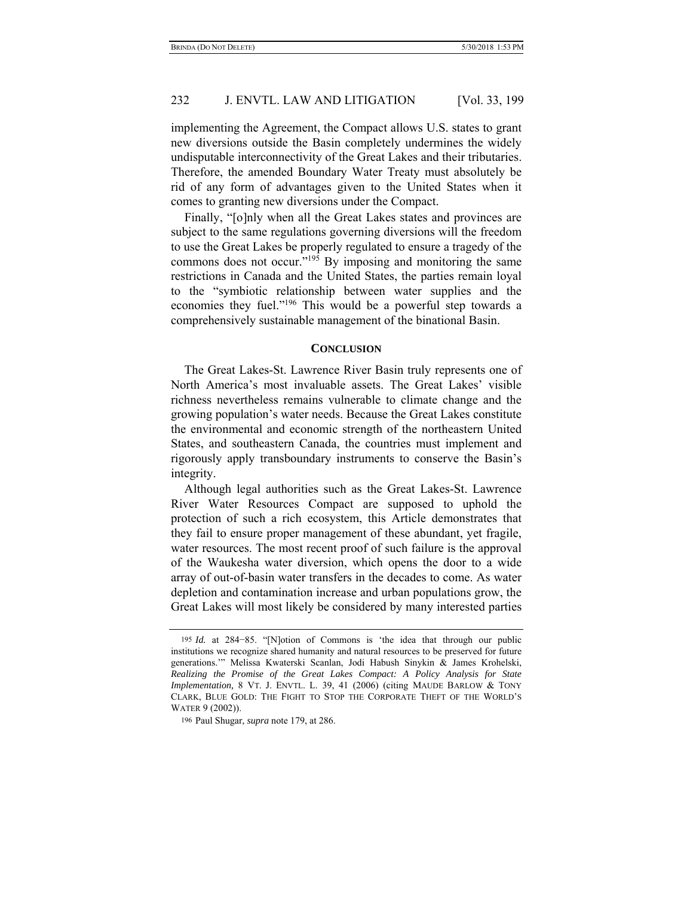implementing the Agreement, the Compact allows U.S. states to grant new diversions outside the Basin completely undermines the widely undisputable interconnectivity of the Great Lakes and their tributaries. Therefore, the amended Boundary Water Treaty must absolutely be rid of any form of advantages given to the United States when it comes to granting new diversions under the Compact.

Finally, "[o]nly when all the Great Lakes states and provinces are subject to the same regulations governing diversions will the freedom to use the Great Lakes be properly regulated to ensure a tragedy of the commons does not occur."195 By imposing and monitoring the same restrictions in Canada and the United States, the parties remain loyal to the "symbiotic relationship between water supplies and the economies they fuel."196 This would be a powerful step towards a comprehensively sustainable management of the binational Basin.

### **CONCLUSION**

The Great Lakes-St. Lawrence River Basin truly represents one of North America's most invaluable assets. The Great Lakes' visible richness nevertheless remains vulnerable to climate change and the growing population's water needs. Because the Great Lakes constitute the environmental and economic strength of the northeastern United States, and southeastern Canada, the countries must implement and rigorously apply transboundary instruments to conserve the Basin's integrity.

Although legal authorities such as the Great Lakes-St. Lawrence River Water Resources Compact are supposed to uphold the protection of such a rich ecosystem, this Article demonstrates that they fail to ensure proper management of these abundant, yet fragile, water resources. The most recent proof of such failure is the approval of the Waukesha water diversion, which opens the door to a wide array of out-of-basin water transfers in the decades to come. As water depletion and contamination increase and urban populations grow, the Great Lakes will most likely be considered by many interested parties

<sup>195</sup> *Id.* at 284−85. "[N]otion of Commons is 'the idea that through our public institutions we recognize shared humanity and natural resources to be preserved for future generations.'" Melissa Kwaterski Scanlan, Jodi Habush Sinykin & James Krohelski, *Realizing the Promise of the Great Lakes Compact: A Policy Analysis for State Implementation,* 8 VT. J. ENVTL. L. 39, 41 (2006) (citing MAUDE BARLOW & TONY CLARK, BLUE GOLD: THE FIGHT TO STOP THE CORPORATE THEFT OF THE WORLD'S WATER 9 (2002)).

<sup>196</sup> Paul Shugar, *supra* note 179, at 286.